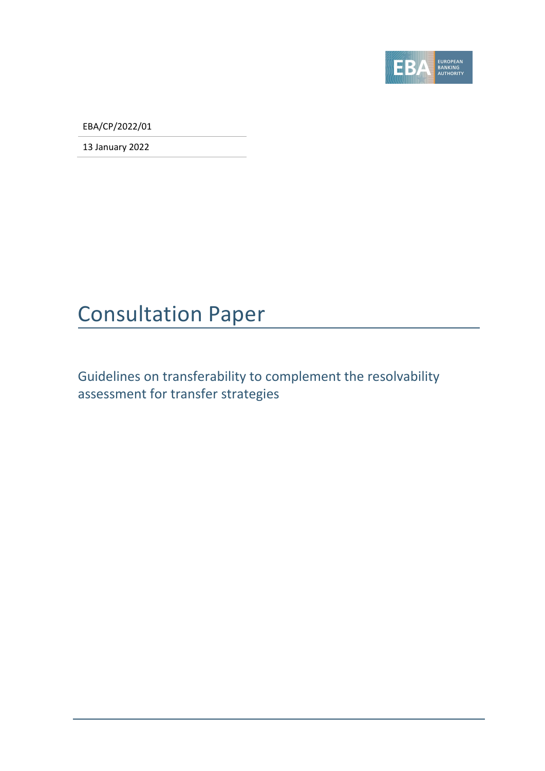

EBA/CP/2022/01

13 January 2022

# Consultation Paper

Guidelines on transferability to complement the resolvability assessment for transfer strategies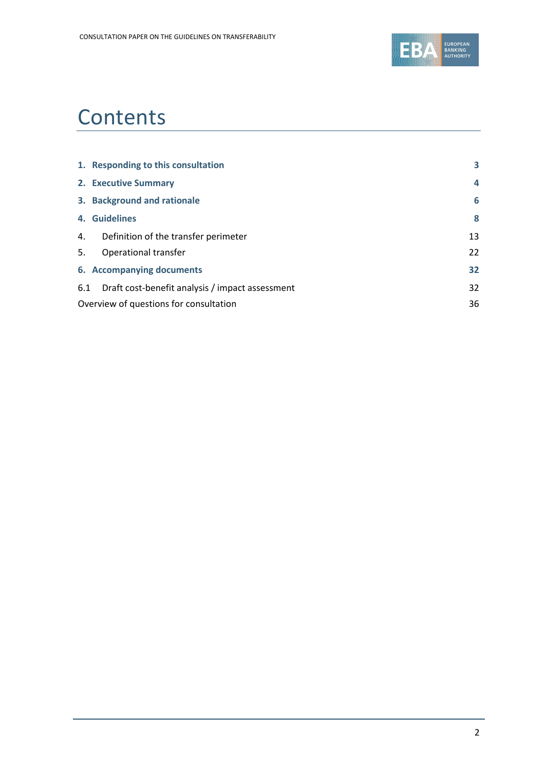

# **Contents**

|                                        | 1. Responding to this consultation              | 3              |
|----------------------------------------|-------------------------------------------------|----------------|
|                                        | 2. Executive Summary                            | $\overline{a}$ |
|                                        | 3. Background and rationale                     | 6              |
|                                        | 4. Guidelines                                   | 8              |
| 4.                                     | Definition of the transfer perimeter            | 13             |
| 5.                                     | Operational transfer                            | 22             |
|                                        | 6. Accompanying documents                       | 32             |
| 6.1                                    | Draft cost-benefit analysis / impact assessment | 32             |
| Overview of questions for consultation |                                                 | 36             |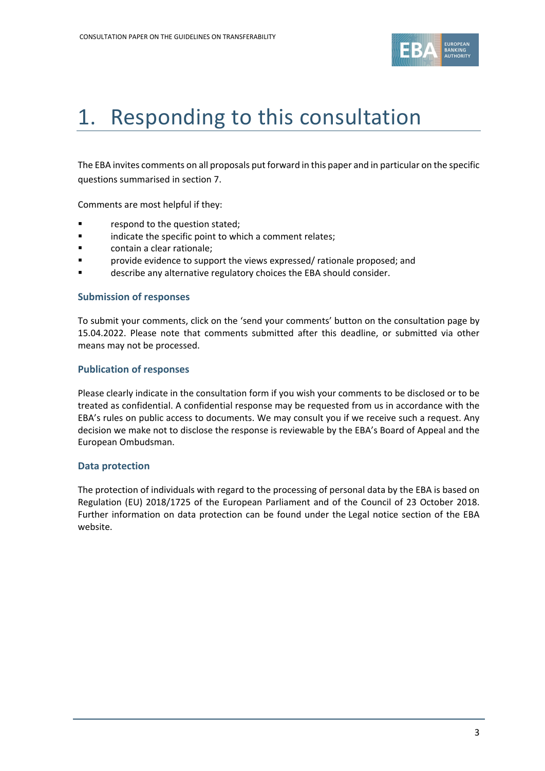

# <span id="page-2-0"></span>1. Responding to this consultation

The EBA invites comments on all proposals put forward in this paper and in particular on the specific questions summarised in section 7.

Comments are most helpful if they:

- respond to the question stated;
- **Example 1** indicate the specific point to which a comment relates;
- contain a clear rationale;
- provide evidence to support the views expressed/ rationale proposed; and
- describe any alternative regulatory choices the EBA should consider.

#### **Submission of responses**

To submit your comments, click on the 'send your comments' button on the consultation page by 15.04.2022. Please note that comments submitted after this deadline, or submitted via other means may not be processed.

#### **Publication of responses**

Please clearly indicate in the consultation form if you wish your comments to be disclosed or to be treated as confidential. A confidential response may be requested from us in accordance with the EBA's rules on public access to documents. We may consult you if we receive such a request. Any decision we make not to disclose the response is reviewable by the EBA's Board of Appeal and the European Ombudsman.

#### **Data protection**

The protection of individuals with regard to the processing of personal data by the EBA is based on Regulation (EU) 2018/1725 of the European Parliament and of the Council of 23 October 2018. Further information on data protection can be found under the [Legal notice section](http://eba.europa.eu/legal-notice) of the EBA website.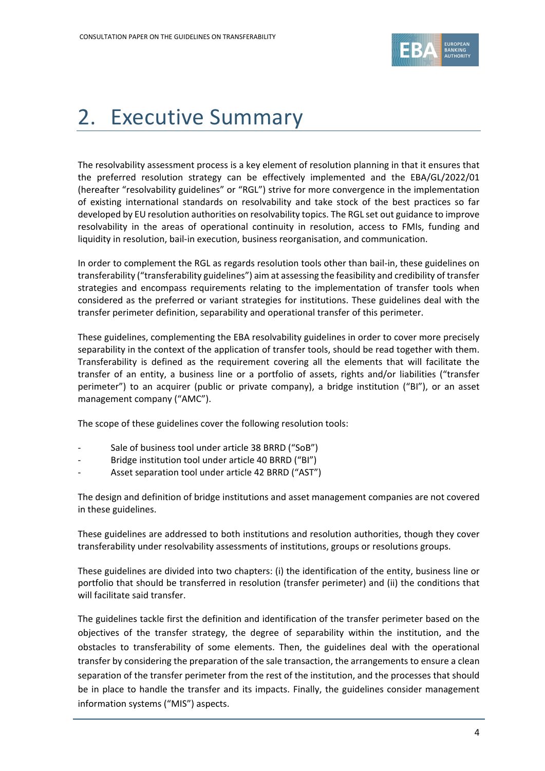

# <span id="page-3-0"></span>2. Executive Summary

The resolvability assessment process is a key element of resolution planning in that it ensures that the preferred resolution strategy can be effectively implemented and the EBA/GL/2022/01 (hereafter "resolvability guidelines" or "RGL") strive for more convergence in the implementation of existing international standards on resolvability and take stock of the best practices so far developed by EU resolution authorities on resolvability topics. The RGL set out guidance to improve resolvability in the areas of operational continuity in resolution, access to FMIs, funding and liquidity in resolution, bail-in execution, business reorganisation, and communication.

In order to complement the RGL as regards resolution tools other than bail-in, these guidelines on transferability ("transferability guidelines") aim at assessing the feasibility and credibility of transfer strategies and encompass requirements relating to the implementation of transfer tools when considered as the preferred or variant strategies for institutions. These guidelines deal with the transfer perimeter definition, separability and operational transfer of this perimeter.

These guidelines, complementing the EBA resolvability guidelines in order to cover more precisely separability in the context of the application of transfer tools, should be read together with them. Transferability is defined as the requirement covering all the elements that will facilitate the transfer of an entity, a business line or a portfolio of assets, rights and/or liabilities ("transfer perimeter") to an acquirer (public or private company), a bridge institution ("BI"), or an asset management company ("AMC").

The scope of these guidelines cover the following resolution tools:

- Sale of business tool under article 38 BRRD ("SoB")
- Bridge institution tool under article 40 BRRD ("BI")
- Asset separation tool under article 42 BRRD ("AST")

The design and definition of bridge institutions and asset management companies are not covered in these guidelines.

These guidelines are addressed to both institutions and resolution authorities, though they cover transferability under resolvability assessments of institutions, groups or resolutions groups.

These guidelines are divided into two chapters: (i) the identification of the entity, business line or portfolio that should be transferred in resolution (transfer perimeter) and (ii) the conditions that will facilitate said transfer.

The guidelines tackle first the definition and identification of the transfer perimeter based on the objectives of the transfer strategy, the degree of separability within the institution, and the obstacles to transferability of some elements. Then, the guidelines deal with the operational transfer by considering the preparation of the sale transaction, the arrangements to ensure a clean separation of the transfer perimeter from the rest of the institution, and the processes that should be in place to handle the transfer and its impacts. Finally, the guidelines consider management information systems ("MIS") aspects.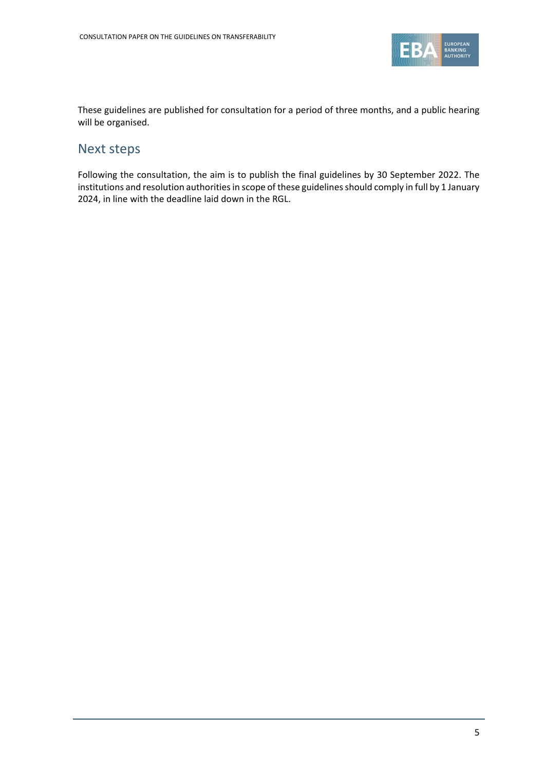

These guidelines are published for consultation for a period of three months, and a public hearing will be organised.

## Next steps

Following the consultation, the aim is to publish the final guidelines by 30 September 2022. The institutions and resolution authorities in scope of these guidelines should comply in full by 1 January 2024, in line with the deadline laid down in the RGL.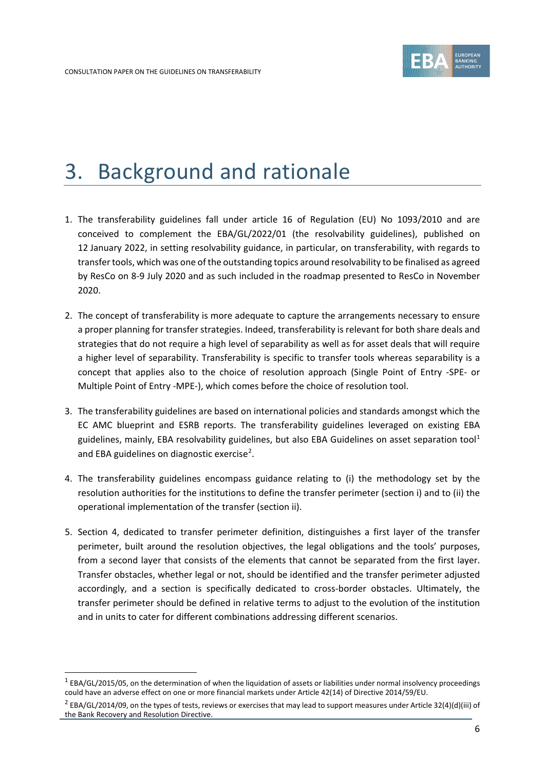

# <span id="page-5-0"></span>3. Background and rationale

- 1. The transferability guidelines fall under article 16 of Regulation (EU) No 1093/2010 and are conceived to complement the EBA/GL/2022/01 (the resolvability guidelines), published on 12 January 2022, in setting resolvability guidance, in particular, on transferability, with regards to transfer tools, which was one of the outstanding topics around resolvability to be finalised as agreed by ResCo on 8-9 July 2020 and as such included in the roadmap presented to ResCo in November 2020.
- 2. The concept of transferability is more adequate to capture the arrangements necessary to ensure a proper planning for transfer strategies. Indeed, transferability is relevant for both share deals and strategies that do not require a high level of separability as well as for asset deals that will require a higher level of separability. Transferability is specific to transfer tools whereas separability is a concept that applies also to the choice of resolution approach (Single Point of Entry -SPE- or Multiple Point of Entry -MPE-), which comes before the choice of resolution tool.
- 3. The transferability guidelines are based on international policies and standards amongst which the EC AMC blueprint and ESRB reports. The transferability guidelines leveraged on existing EBA guidelines, mainly, EBA resolvability guidelines, but also EBA Guidelines on asset separation tool<sup>[1](#page-5-1)</sup> and EBA guidelines on diagnostic exercise<sup>[2](#page-5-2)</sup>.
- 4. The transferability guidelines encompass guidance relating to (i) the methodology set by the resolution authorities for the institutions to define the transfer perimeter (section i) and to (ii) the operational implementation of the transfer (section ii).
- 5. Section [4,](#page-11-0) dedicated to transfer perimeter definition, distinguishes a first layer of the transfer perimeter, built around the resolution objectives, the legal obligations and the tools' purposes, from a second layer that consists of the elements that cannot be separated from the first layer. Transfer obstacles, whether legal or not, should be identified and the transfer perimeter adjusted accordingly, and a section is specifically dedicated to cross-border obstacles. Ultimately, the transfer perimeter should be defined in relative terms to adjust to the evolution of the institution and in units to cater for different combinations addressing different scenarios.

<span id="page-5-1"></span><sup>&</sup>lt;sup>1</sup> EBA/GL/2015/05, on the determination of when the liquidation of assets or liabilities under normal insolvency proceedings could have an adverse effect on one or more financial markets under Article 42(14) of Directive 2014/59/EU.

<span id="page-5-2"></span> $2$  EBA/GL/2014/09, on the types of tests, reviews or exercises that may lead to support measures under Article 32(4)(d)(iii) of the Bank Recovery and Resolution Directive.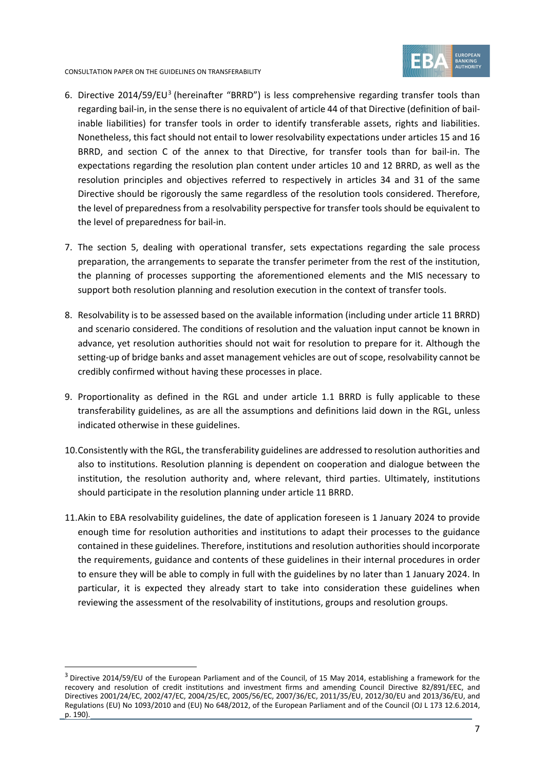

CONSULTATION PAPER ON THE GUIDELINES ON TRANSFERABILITY

- 6. Directive 2014/59/EU<sup>[3](#page-6-0)</sup> (hereinafter "BRRD") is less comprehensive regarding transfer tools than regarding bail-in, in the sense there is no equivalent of article 44 of that Directive (definition of bailinable liabilities) for transfer tools in order to identify transferable assets, rights and liabilities. Nonetheless, this fact should not entail to lower resolvability expectations under articles 15 and 16 BRRD, and section C of the annex to that Directive, for transfer tools than for bail-in. The expectations regarding the resolution plan content under articles 10 and 12 BRRD, as well as the resolution principles and objectives referred to respectively in articles 34 and 31 of the same Directive should be rigorously the same regardless of the resolution tools considered. Therefore, the level of preparedness from a resolvability perspective for transfer tools should be equivalent to the level of preparedness for bail-in.
- 7. The section [5,](#page-20-0) dealing with operational transfer, sets expectations regarding the sale process preparation, the arrangements to separate the transfer perimeter from the rest of the institution, the planning of processes supporting the aforementioned elements and the MIS necessary to support both resolution planning and resolution execution in the context of transfer tools.
- 8. Resolvability is to be assessed based on the available information (including under article 11 BRRD) and scenario considered. The conditions of resolution and the valuation input cannot be known in advance, yet resolution authorities should not wait for resolution to prepare for it. Although the setting-up of bridge banks and asset management vehicles are out of scope, resolvability cannot be credibly confirmed without having these processes in place.
- 9. Proportionality as defined in the RGL and under article 1.1 BRRD is fully applicable to these transferability guidelines, as are all the assumptions and definitions laid down in the RGL, unless indicated otherwise in these guidelines.
- 10.Consistently with the RGL, the transferability guidelines are addressed to resolution authorities and also to institutions. Resolution planning is dependent on cooperation and dialogue between the institution, the resolution authority and, where relevant, third parties. Ultimately, institutions should participate in the resolution planning under article 11 BRRD.
- 11.Akin to EBA resolvability guidelines, the date of application foreseen is 1 January 2024 to provide enough time for resolution authorities and institutions to adapt their processes to the guidance contained in these guidelines. Therefore, institutions and resolution authorities should incorporate the requirements, guidance and contents of these guidelines in their internal procedures in order to ensure they will be able to comply in full with the guidelines by no later than 1 January 2024. In particular, it is expected they already start to take into consideration these guidelines when reviewing the assessment of the resolvability of institutions, groups and resolution groups.

<span id="page-6-0"></span> $3$  Directive 2014/59/EU of the European Parliament and of the Council, of 15 May 2014, establishing a framework for the recovery and resolution of credit institutions and investment firms and amending Council Directive 82/891/EEC, and Directives 2001/24/EC, 2002/47/EC, 2004/25/EC, 2005/56/EC, 2007/36/EC, 2011/35/EU, 2012/30/EU and 2013/36/EU, and Regulations (EU) No 1093/2010 and (EU) No 648/2012, of the European Parliament and of the Council (OJ L 173 12.6.2014, p. 190).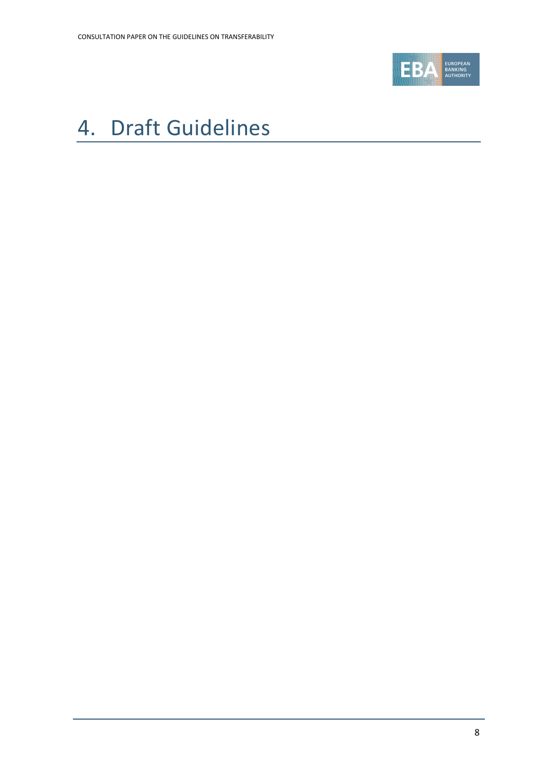

# <span id="page-7-0"></span>4. Draft Guidelines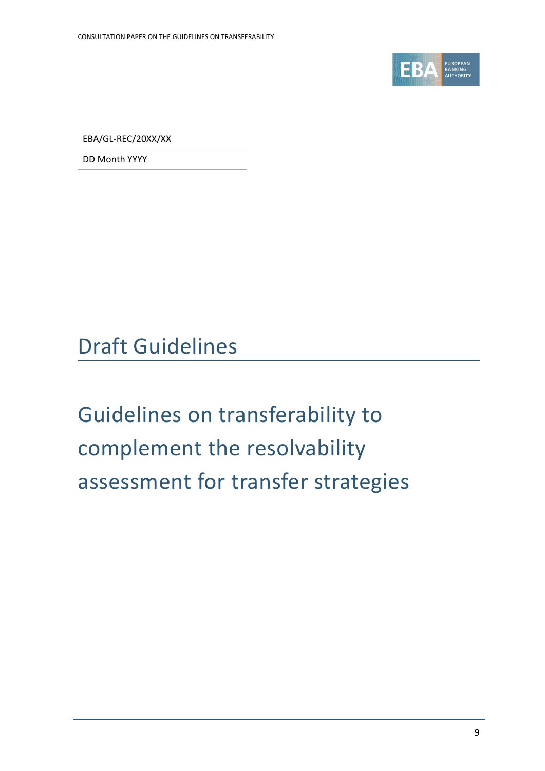

EBA/GL-REC/20XX/XX

DD Month YYYY

Draft Guidelines

Guidelines on transferability to complement the resolvability assessment for transfer strategies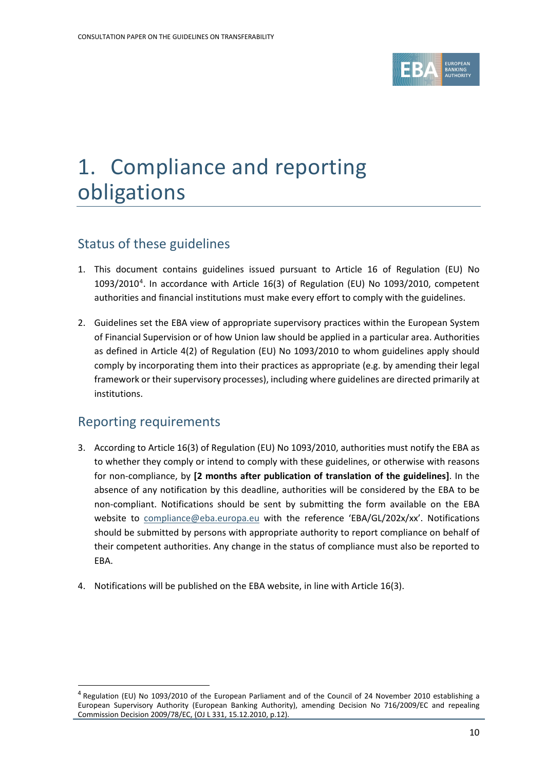

# 1. Compliance and reporting obligations

# Status of these guidelines

- 1. This document contains guidelines issued pursuant to Article 16 of Regulation (EU) No 1093/2010<sup>[4](#page-9-0)</sup>. In accordance with Article 16(3) of Regulation (EU) No 1093/2010, competent authorities and financial institutions must make every effort to comply with the guidelines.
- 2. Guidelines set the EBA view of appropriate supervisory practices within the European System of Financial Supervision or of how Union law should be applied in a particular area. Authorities as defined in Article 4(2) of Regulation (EU) No 1093/2010 to whom guidelines apply should comply by incorporating them into their practices as appropriate (e.g. by amending their legal framework or their supervisory processes), including where guidelines are directed primarily at institutions.

# Reporting requirements

- 3. According to Article 16(3) of Regulation (EU) No 1093/2010, authorities must notify the EBA as to whether they comply or intend to comply with these guidelines, or otherwise with reasons for non-compliance, by **[2 months after publication of translation of the guidelines]**. In the absence of any notification by this deadline, authorities will be considered by the EBA to be non-compliant. Notifications should be sent by submitting the form available on the EBA website to [compliance@eba.europa.eu](mailto:compliance@eba.europa.eu) with the reference 'EBA/GL/202x/xx'. Notifications should be submitted by persons with appropriate authority to report compliance on behalf of their competent authorities. Any change in the status of compliance must also be reported to EBA.
- 4. Notifications will be published on the EBA website, in line with Article 16(3).

<span id="page-9-0"></span><sup>4</sup> Regulation (EU) No 1093/2010 of the European Parliament and of the Council of 24 November 2010 establishing a European Supervisory Authority (European Banking Authority), amending Decision No 716/2009/EC and repealing Commission Decision 2009/78/EC, (OJ L 331, 15.12.2010, p.12).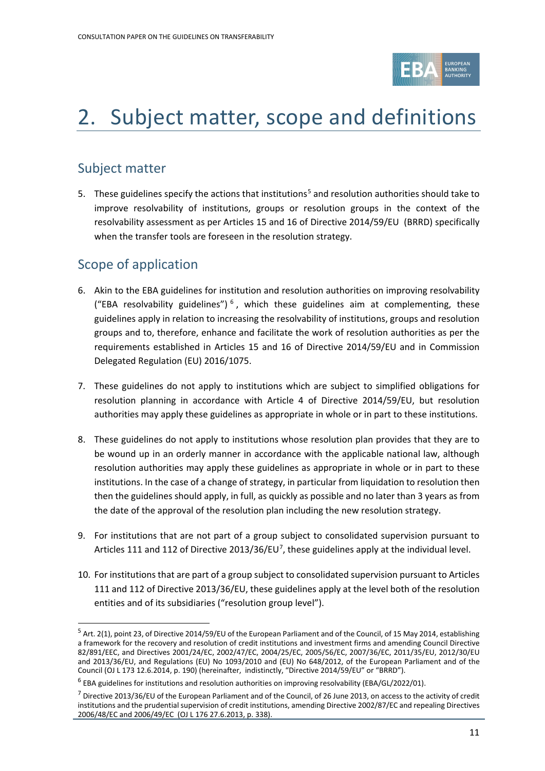

# 2. Subject matter, scope and definitions

# Subject matter

[5](#page-10-0). These guidelines specify the actions that institutions<sup>5</sup> and resolution authorities should take to improve resolvability of institutions, groups or resolution groups in the context of the resolvability assessment as per Articles 15 and 16 of Directive 2014/59/EU (BRRD) specifically when the transfer tools are foreseen in the resolution strategy.

# Scope of application

- 6. Akin to the EBA guidelines for institution and resolution authorities on improving resolvability ("EBA resolvability guidelines")<sup>[6](#page-10-1)</sup>, which these guidelines aim at complementing, these guidelines apply in relation to increasing the resolvability of institutions, groups and resolution groups and to, therefore, enhance and facilitate the work of resolution authorities as per the requirements established in Articles 15 and 16 of Directive 2014/59/EU and in Commission Delegated Regulation (EU) 2016/1075.
- 7. These guidelines do not apply to institutions which are subject to simplified obligations for resolution planning in accordance with Article 4 of Directive 2014/59/EU, but resolution authorities may apply these guidelines as appropriate in whole or in part to these institutions.
- 8. These guidelines do not apply to institutions whose resolution plan provides that they are to be wound up in an orderly manner in accordance with the applicable national law, although resolution authorities may apply these guidelines as appropriate in whole or in part to these institutions. In the case of a change of strategy, in particular from liquidation to resolution then then the guidelines should apply, in full, as quickly as possible and no later than 3 years as from the date of the approval of the resolution plan including the new resolution strategy.
- 9. For institutions that are not part of a group subject to consolidated supervision pursuant to Articles 111 and 112 of Directive 2013/36/EU<sup>[7](#page-10-2)</sup>, these guidelines apply at the individual level.
- 10. For institutions that are part of a group subject to consolidated supervision pursuant to Articles 111 and 112 of Directive 2013/36/EU, these guidelines apply at the level both of the resolution entities and of its subsidiaries ("resolution group level").

<span id="page-10-0"></span><sup>&</sup>lt;sup>5</sup> Art. 2(1), point 23, of Directive 2014/59/EU of the European Parliament and of the Council, of 15 May 2014, establishing a framework for the recovery and resolution of credit institutions and investment firms and amending Council Directive 82/891/EEC, and Directives 2001/24/EC, 2002/47/EC, 2004/25/EC, 2005/56/EC, 2007/36/EC, 2011/35/EU, 2012/30/EU and 2013/36/EU, and Regulations (EU) No 1093/2010 and (EU) No 648/2012, of the European Parliament and of the Council (OJ L 173 12.6.2014, p. 190) (hereinafter, indistinctly, "Directive 2014/59/EU" or "BRRD").

<sup>6</sup> EBA guidelines for institutions and resolution authorities on improving resolvability (EBA/GL/2022/01).

<span id="page-10-2"></span><span id="page-10-1"></span> $^7$  Directive 2013/36/EU of the European Parliament and of the Council, of 26 June 2013, on access to the activity of credit institutions and the prudential supervision of credit institutions, amending Directive 2002/87/EC and repealing Directives 2006/48/EC and 2006/49/EC (OJ L 176 27.6.2013, p. 338).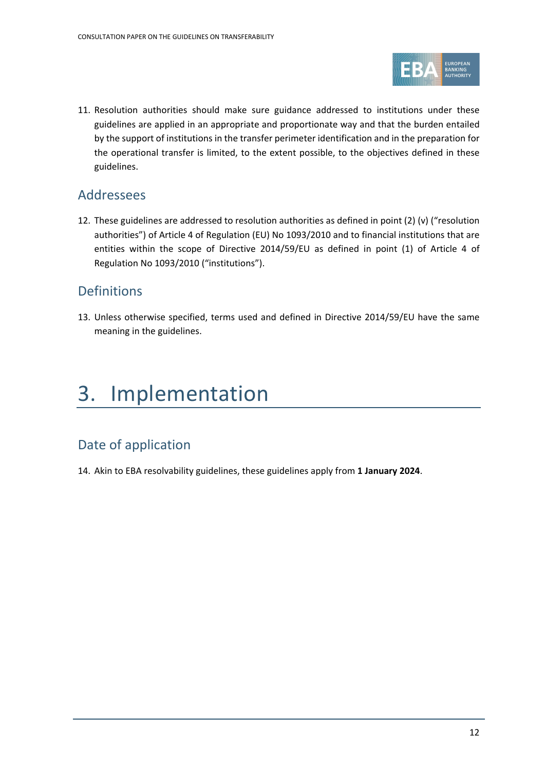

11. Resolution authorities should make sure guidance addressed to institutions under these guidelines are applied in an appropriate and proportionate way and that the burden entailed by the support of institutions in the transfer perimeter identification and in the preparation for the operational transfer is limited, to the extent possible, to the objectives defined in these guidelines.

## Addressees

12. These guidelines are addressed to resolution authorities as defined in point (2) (v) ("resolution authorities") of Article 4 of Regulation (EU) No 1093/2010 and to financial institutions that are entities within the scope of Directive 2014/59/EU as defined in point (1) of Article 4 of Regulation No 1093/2010 ("institutions").

## Definitions

13. Unless otherwise specified, terms used and defined in Directive 2014/59/EU have the same meaning in the guidelines.

# 3. Implementation

# Date of application

<span id="page-11-0"></span>14. Akin to EBA resolvability guidelines, these guidelines apply from **1 January 2024**.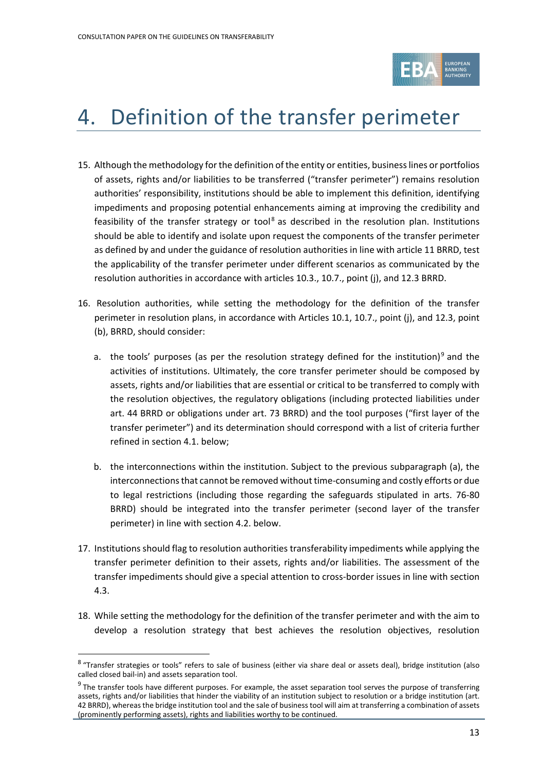

# 4. Definition of the transfer perimeter

- <span id="page-12-2"></span>15. Although the methodology for the definition of the entity or entities, business lines or portfolios of assets, rights and/or liabilities to be transferred ("transfer perimeter") remains resolution authorities' responsibility, institutions should be able to implement this definition, identifying impediments and proposing potential enhancements aiming at improving the credibility and feasibility of the transfer strategy or tool<sup>[8](#page-12-0)</sup> as described in the resolution plan. Institutions should be able to identify and isolate upon request the components of the transfer perimeter as defined by and under the guidance of resolution authorities in line with article 11 BRRD, test the applicability of the transfer perimeter under different scenarios as communicated by the resolution authorities in accordance with articles 10.3., 10.7., point (j), and 12.3 BRRD.
- <span id="page-12-5"></span><span id="page-12-4"></span>16. Resolution authorities, while setting the methodology for the definition of the transfer perimeter in resolution plans, in accordance with Articles 10.1, 10.7., point (j), and 12.3, point (b), BRRD, should consider:
	- a. the tools' purposes (as per the resolution strategy defined for the institution)<sup>[9](#page-12-1)</sup> and the activities of institutions. Ultimately, the core transfer perimeter should be composed by assets, rights and/or liabilities that are essential or critical to be transferred to comply with the resolution objectives, the regulatory obligations (including protected liabilities under art. 44 BRRD or obligations under art. 73 BRRD) and the tool purposes ("first layer of the transfer perimeter") and its determination should correspond with a list of criteria further refined in section 4.1. below;
	- b. the interconnections within the institution. Subject to the previous subparagraph (a), the interconnections that cannot be removed without time-consuming and costly efforts or due to legal restrictions (including those regarding the safeguards stipulated in arts. 76-80 BRRD) should be integrated into the transfer perimeter (second layer of the transfer perimeter) in line with section 4.2. below.
- <span id="page-12-6"></span>17. Institutions should flag to resolution authorities transferability impediments while applying the transfer perimeter definition to their assets, rights and/or liabilities. The assessment of the transfer impediments should give a special attention to cross-border issues in line with section 4.3.
- <span id="page-12-3"></span>18. While setting the methodology for the definition of the transfer perimeter and with the aim to develop a resolution strategy that best achieves the resolution objectives, resolution

<sup>8</sup> "Transfer strategies or tools" refers to sale of business (either via share deal or assets deal), bridge institution (also called closed bail-in) and assets separation tool.

<span id="page-12-1"></span><span id="page-12-0"></span> $9$  The transfer tools have different purposes. For example, the asset separation tool serves the purpose of transferring assets, rights and/or liabilities that hinder the viability of an institution subject to resolution or a bridge institution (art. 42 BRRD), whereas the bridge institution tool and the sale of business tool will aim at transferring a combination of assets (prominently performing assets), rights and liabilities worthy to be continued.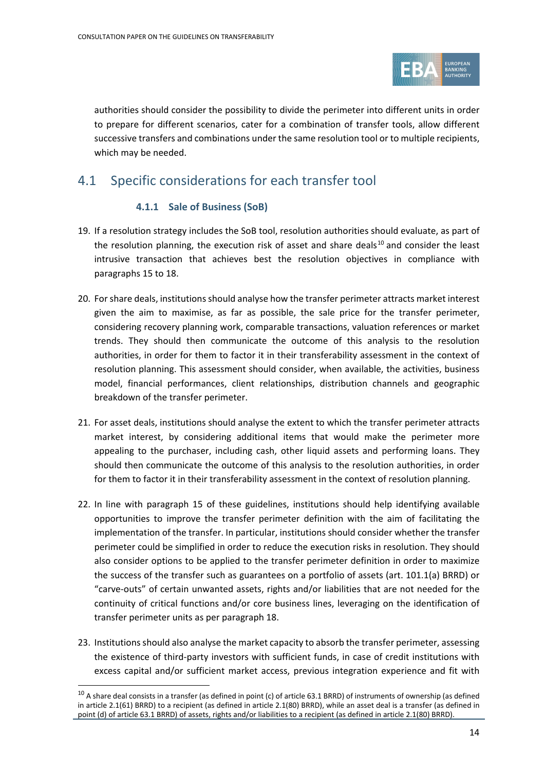

authorities should consider the possibility to divide the perimeter into different units in order to prepare for different scenarios, cater for a combination of transfer tools, allow different successive transfers and combinations under the same resolution tool or to multiple recipients, which may be needed.

# 4.1 Specific considerations for each transfer tool

## **4.1.1 Sale of Business (SoB)**

- 19. If a resolution strategy includes the SoB tool, resolution authorities should evaluate, as part of the resolution planning, the execution risk of asset and share deals $10$  and consider the least intrusive transaction that achieves best the resolution objectives in compliance with paragraphs [15](#page-12-2) to [18.](#page-12-3)
- 20. For share deals, institutions should analyse how the transfer perimeter attracts market interest given the aim to maximise, as far as possible, the sale price for the transfer perimeter, considering recovery planning work, comparable transactions, valuation references or market trends. They should then communicate the outcome of this analysis to the resolution authorities, in order for them to factor it in their transferability assessment in the context of resolution planning. This assessment should consider, when available, the activities, business model, financial performances, client relationships, distribution channels and geographic breakdown of the transfer perimeter.
- <span id="page-13-1"></span>21. For asset deals, institutions should analyse the extent to which the transfer perimeter attracts market interest, by considering additional items that would make the perimeter more appealing to the purchaser, including cash, other liquid assets and performing loans. They should then communicate the outcome of this analysis to the resolution authorities, in order for them to factor it in their transferability assessment in the context of resolution planning.
- <span id="page-13-2"></span>22. In line with paragraph [15](#page-12-2) of these guidelines, institutions should help identifying available opportunities to improve the transfer perimeter definition with the aim of facilitating the implementation of the transfer. In particular, institutions should consider whether the transfer perimeter could be simplified in order to reduce the execution risks in resolution. They should also consider options to be applied to the transfer perimeter definition in order to maximize the success of the transfer such as guarantees on a portfolio of assets (art. 101.1(a) BRRD) or "carve-outs" of certain unwanted assets, rights and/or liabilities that are not needed for the continuity of critical functions and/or core business lines, leveraging on the identification of transfer perimeter units as per paragraph [18.](#page-12-3)
- 23. Institutions should also analyse the market capacity to absorb the transfer perimeter, assessing the existence of third-party investors with sufficient funds, in case of credit institutions with excess capital and/or sufficient market access, previous integration experience and fit with

<span id="page-13-0"></span> $10$  A share deal consists in a transfer (as defined in point (c) of article 63.1 BRRD) of instruments of ownership (as defined in article 2.1(61) BRRD) to a recipient (as defined in article 2.1(80) BRRD), while an asset deal is a transfer (as defined in point (d) of article 63.1 BRRD) of assets, rights and/or liabilities to a recipient (as defined in article 2.1(80) BRRD).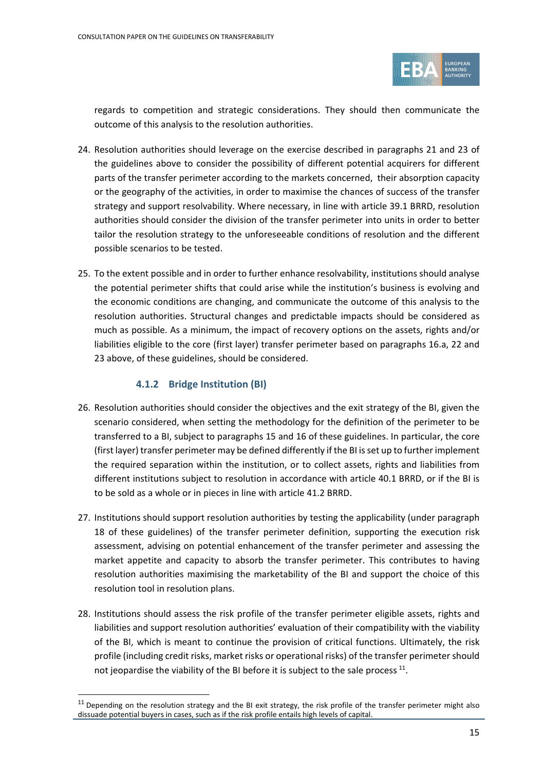

regards to competition and strategic considerations. They should then communicate the outcome of this analysis to the resolution authorities.

- 24. Resolution authorities should leverage on the exercise described in paragraphs [21](#page-13-1) and [23](#page-13-2) of the guidelines above to consider the possibility of different potential acquirers for different parts of the transfer perimeter according to the markets concerned, their absorption capacity or the geography of the activities, in order to maximise the chances of success of the transfer strategy and support resolvability. Where necessary, in line with article 39.1 BRRD, resolution authorities should consider the division of the transfer perimeter into units in order to better tailor the resolution strategy to the unforeseeable conditions of resolution and the different possible scenarios to be tested.
- <span id="page-14-2"></span>25. To the extent possible and in order to further enhance resolvability, institutions should analyse the potential perimeter shifts that could arise while the institution's business is evolving and the economic conditions are changing, and communicate the outcome of this analysis to the resolution authorities. Structural changes and predictable impacts should be considered as much as possible. As a minimum, the impact of recovery options on the assets, rights and/or liabilities eligible to the core (first layer) transfer perimeter based on paragraphs [16.](#page-12-4)[a,](#page-12-5) [22](#page-13-1) and [23](#page-13-2) above, of these guidelines, should be considered.

### **4.1.2 Bridge Institution (BI)**

- <span id="page-14-1"></span>26. Resolution authorities should consider the objectives and the exit strategy of the BI, given the scenario considered, when setting the methodology for the definition of the perimeter to be transferred to a BI, subject to paragraphs [15](#page-12-2) and [16](#page-12-4) of these guidelines. In particular, the core (first layer) transfer perimeter may be defined differently if the BI is set up to further implement the required separation within the institution, or to collect assets, rights and liabilities from different institutions subject to resolution in accordance with article 40.1 BRRD, or if the BI is to be sold as a whole or in pieces in line with article 41.2 BRRD.
- 27. Institutions should support resolution authorities by testing the applicability (under paragraph [18](#page-12-3) of these guidelines) of the transfer perimeter definition, supporting the execution risk assessment, advising on potential enhancement of the transfer perimeter and assessing the market appetite and capacity to absorb the transfer perimeter. This contributes to having resolution authorities maximising the marketability of the BI and support the choice of this resolution tool in resolution plans.
- 28. Institutions should assess the risk profile of the transfer perimeter eligible assets, rights and liabilities and support resolution authorities' evaluation of their compatibility with the viability of the BI, which is meant to continue the provision of critical functions. Ultimately, the risk profile (including credit risks, market risks or operational risks) of the transfer perimeter should not jeopardise the viability of the BI before it is subject to the sale process  $^{11}$  $^{11}$  $^{11}$ .

<span id="page-14-0"></span> $11$  Depending on the resolution strategy and the BI exit strategy, the risk profile of the transfer perimeter might also dissuade potential buyers in cases, such as if the risk profile entails high levels of capital.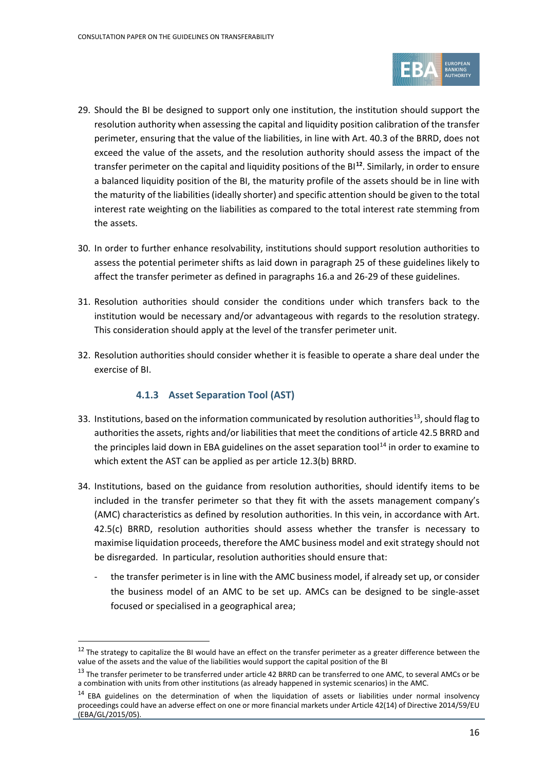

- <span id="page-15-0"></span>29. Should the BI be designed to support only one institution, the institution should support the resolution authority when assessing the capital and liquidity position calibration of the transfer perimeter, ensuring that the value of the liabilities, in line with Art. 40.3 of the BRRD, does not exceed the value of the assets, and the resolution authority should assess the impact of the transfer perimeter on the capital and liquidity positions of the BI**[12](#page-15-1)**. Similarly, in order to ensure a balanced liquidity position of the BI, the maturity profile of the assets should be in line with the maturity of the liabilities (ideally shorter) and specific attention should be given to the total interest rate weighting on the liabilities as compared to the total interest rate stemming from the assets.
- 30. In order to further enhance resolvability, institutions should support resolution authorities to assess the potential perimeter shifts as laid down in paragraph 25 of these guidelines likely to affect the transfer perimeter as defined in paragraphs [16.](#page-12-4)[a](#page-12-5) and [26-](#page-14-1)[29](#page-15-0) of these guidelines.
- 31. Resolution authorities should consider the conditions under which transfers back to the institution would be necessary and/or advantageous with regards to the resolution strategy. This consideration should apply at the level of the transfer perimeter unit.
- 32. Resolution authorities should consider whether it is feasible to operate a share deal under the exercise of BI.

## **4.1.3 Asset Separation Tool (AST)**

- 33. Institutions, based on the information communicated by resolution authorities<sup>[13](#page-15-2)</sup>, should flag to authorities the assets, rights and/or liabilities that meet the conditions of article 42.5 BRRD and the principles laid down in EBA guidelines on the asset separation tool $14$  in order to examine to which extent the AST can be applied as per article 12.3(b) BRRD.
- 34. Institutions, based on the guidance from resolution authorities, should identify items to be included in the transfer perimeter so that they fit with the assets management company's (AMC) characteristics as defined by resolution authorities. In this vein, in accordance with Art. 42.5(c) BRRD, resolution authorities should assess whether the transfer is necessary to maximise liquidation proceeds, therefore the AMC business model and exit strategy should not be disregarded. In particular, resolution authorities should ensure that:
	- the transfer perimeter is in line with the AMC business model, if already set up, or consider the business model of an AMC to be set up. AMCs can be designed to be single-asset focused or specialised in a geographical area;

<span id="page-15-1"></span> $12$  The strategy to capitalize the BI would have an effect on the transfer perimeter as a greater difference between the value of the assets and the value of the liabilities would support the capital position of the BI

<sup>&</sup>lt;sup>13</sup> The transfer perimeter to be transferred under article 42 BRRD can be transferred to one AMC, to several AMCs or be a combination with units from other institutions (as already happened in systemic scenarios) in the AMC.

<span id="page-15-3"></span><span id="page-15-2"></span><sup>&</sup>lt;sup>14</sup> EBA guidelines on the determination of when the liquidation of assets or liabilities under normal insolvency proceedings could have an adverse effect on one or more financial markets under Article 42(14) of Directive 2014/59/EU (EBA/GL/2015/05).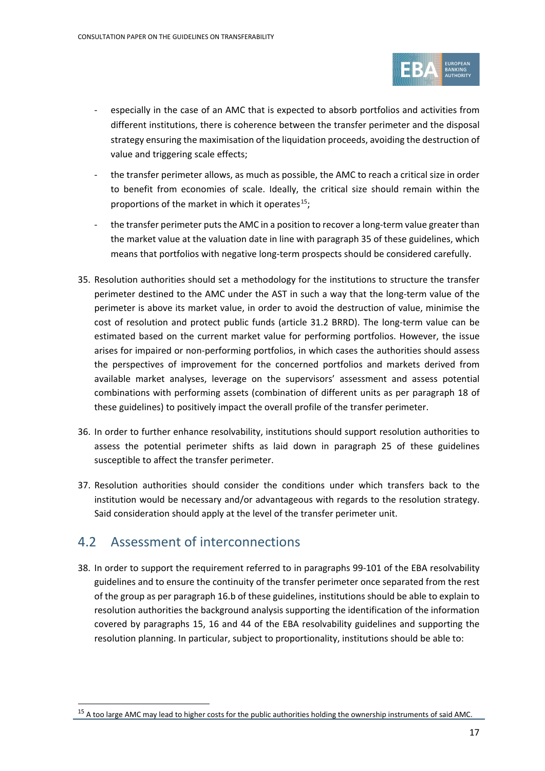

- especially in the case of an AMC that is expected to absorb portfolios and activities from different institutions, there is coherence between the transfer perimeter and the disposal strategy ensuring the maximisation of the liquidation proceeds, avoiding the destruction of value and triggering scale effects;
- the transfer perimeter allows, as much as possible, the AMC to reach a critical size in order to benefit from economies of scale. Ideally, the critical size should remain within the proportions of the market in which it operates $^{15}$ ;
- the transfer perimeter puts the AMC in a position to recover a long-term value greater than the market value at the valuation date in line with paragrap[h 35](#page-16-0) of these guidelines, which means that portfolios with negative long-term prospects should be considered carefully.
- <span id="page-16-0"></span>35. Resolution authorities should set a methodology for the institutions to structure the transfer perimeter destined to the AMC under the AST in such a way that the long-term value of the perimeter is above its market value, in order to avoid the destruction of value, minimise the cost of resolution and protect public funds (article 31.2 BRRD). The long-term value can be estimated based on the current market value for performing portfolios. However, the issue arises for impaired or non-performing portfolios, in which cases the authorities should assess the perspectives of improvement for the concerned portfolios and markets derived from available market analyses, leverage on the supervisors' assessment and assess potential combinations with performing assets (combination of different units as per paragraph [18](#page-12-3) of these guidelines) to positively impact the overall profile of the transfer perimeter.
- 36. In order to further enhance resolvability, institutions should support resolution authorities to assess the potential perimeter shifts as laid down in paragraph [25](#page-14-2) of these guidelines susceptible to affect the transfer perimeter.
- 37. Resolution authorities should consider the conditions under which transfers back to the institution would be necessary and/or advantageous with regards to the resolution strategy. Said consideration should apply at the level of the transfer perimeter unit.

# 4.2 Assessment of interconnections

<span id="page-16-2"></span>38. In order to support the requirement referred to in paragraphs 99-101 of the EBA resolvability guidelines and to ensure the continuity of the transfer perimeter once separated from the rest of the group as per paragraph [16.](#page-12-4)[b](#page-12-6) of these guidelines, institutions should be able to explain to resolution authorities the background analysis supporting the identification of the information covered by paragraphs 15, 16 and 44 of the EBA resolvability guidelines and supporting the resolution planning. In particular, subject to proportionality, institutions should be able to:

<span id="page-16-1"></span><sup>&</sup>lt;sup>15</sup> A too large AMC may lead to higher costs for the public authorities holding the ownership instruments of said AMC.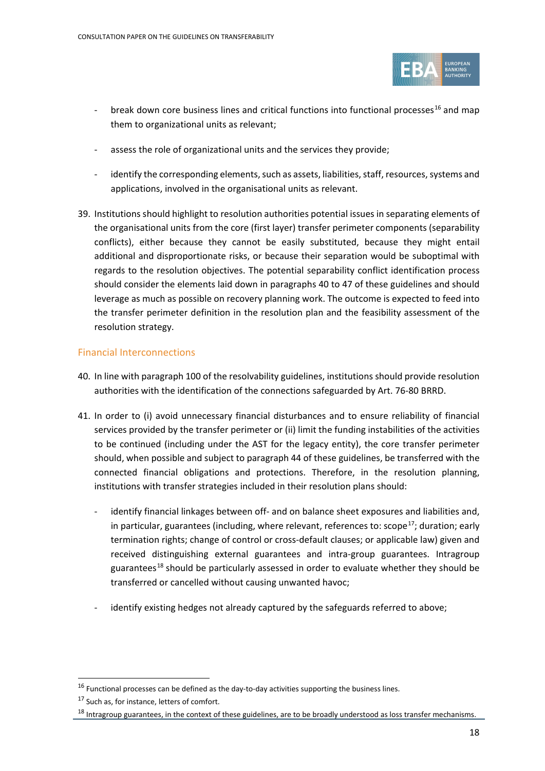

- break down core business lines and critical functions into functional processes<sup>[16](#page-17-1)</sup> and map them to organizational units as relevant;
- assess the role of organizational units and the services they provide;
- identify the corresponding elements, such as assets, liabilities, staff, resources, systems and applications, involved in the organisational units as relevant.
- 39. Institutions should highlight to resolution authorities potential issues in separating elements of the organisational units from the core (first layer) transfer perimeter components (separability conflicts), either because they cannot be easily substituted, because they might entail additional and disproportionate risks, or because their separation would be suboptimal with regards to the resolution objectives. The potential separability conflict identification process should consider the elements laid down in paragraphs [40](#page-17-0) to [47](#page-19-0) of these guidelines and should leverage as much as possible on recovery planning work. The outcome is expected to feed into the transfer perimeter definition in the resolution plan and the feasibility assessment of the resolution strategy.

### Financial Interconnections

- <span id="page-17-0"></span>40. In line with paragraph 100 of the resolvability guidelines, institutions should provide resolution authorities with the identification of the connections safeguarded by Art. 76-80 BRRD.
- 41. In order to (i) avoid unnecessary financial disturbances and to ensure reliability of financial services provided by the transfer perimeter or (ii) limit the funding instabilities of the activities to be continued (including under the AST for the legacy entity), the core transfer perimeter should, when possible and subject to paragraph [44](#page-19-1) of these guidelines, be transferred with the connected financial obligations and protections. Therefore, in the resolution planning, institutions with transfer strategies included in their resolution plans should:
	- identify financial linkages between off- and on balance sheet exposures and liabilities and, in particular, guarantees (including, where relevant, references to: scope<sup>17</sup>; duration; early termination rights; change of control or cross-default clauses; or applicable law) given and received distinguishing external guarantees and intra-group guarantees. Intragroup guarantees<sup>[18](#page-17-3)</sup> should be particularly assessed in order to evaluate whether they should be transferred or cancelled without causing unwanted havoc;
	- identify existing hedges not already captured by the safeguards referred to above;

<span id="page-17-1"></span> $16$  Functional processes can be defined as the day-to-day activities supporting the business lines.

<span id="page-17-2"></span><sup>&</sup>lt;sup>17</sup> Such as, for instance, letters of comfort.

<span id="page-17-3"></span><sup>&</sup>lt;sup>18</sup> Intragroup guarantees, in the context of these guidelines, are to be broadly understood as loss transfer mechanisms.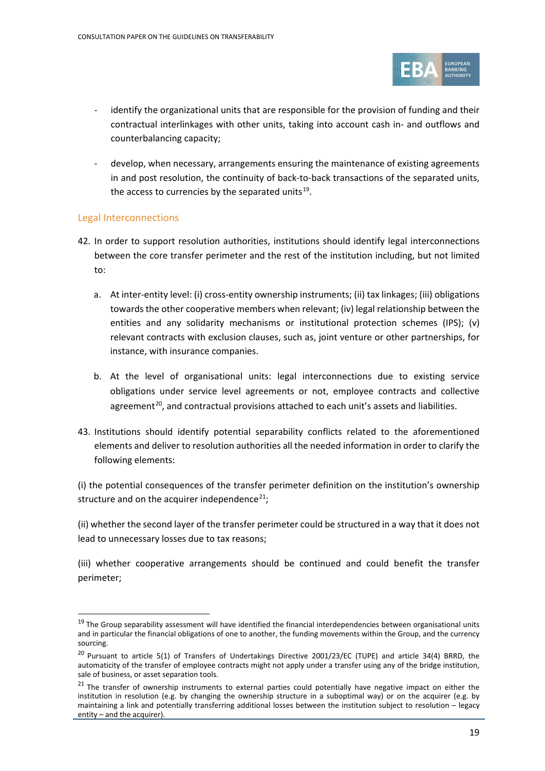

- identify the organizational units that are responsible for the provision of funding and their contractual interlinkages with other units, taking into account cash in- and outflows and counterbalancing capacity;
- develop, when necessary, arrangements ensuring the maintenance of existing agreements in and post resolution, the continuity of back-to-back transactions of the separated units, the access to currencies by the separated units $19$ .

### Legal Interconnections

- 42. In order to support resolution authorities, institutions should identify legal interconnections between the core transfer perimeter and the rest of the institution including, but not limited to:
	- a. At inter-entity level: (i) cross-entity ownership instruments; (ii) tax linkages; (iii) obligations towards the other cooperative members when relevant; (iv) legal relationship between the entities and any solidarity mechanisms or institutional protection schemes (IPS); (v) relevant contracts with exclusion clauses, such as, joint venture or other partnerships, for instance, with insurance companies.
	- b. At the level of organisational units: legal interconnections due to existing service obligations under service level agreements or not, employee contracts and collective agreement<sup>[20](#page-18-1)</sup>, and contractual provisions attached to each unit's assets and liabilities.
- <span id="page-18-3"></span>43. Institutions should identify potential separability conflicts related to the aforementioned elements and deliver to resolution authorities all the needed information in order to clarify the following elements:

(i) the potential consequences of the transfer perimeter definition on the institution's ownership structure and on the acquirer independence<sup>[21](#page-18-2)</sup>;

(ii) whether the second layer of the transfer perimeter could be structured in a way that it does not lead to unnecessary losses due to tax reasons;

(iii) whether cooperative arrangements should be continued and could benefit the transfer perimeter;

<span id="page-18-0"></span><sup>&</sup>lt;sup>19</sup> The Group separability assessment will have identified the financial interdependencies between organisational units and in particular the financial obligations of one to another, the funding movements within the Group, and the currency sourcing.

<span id="page-18-1"></span><sup>&</sup>lt;sup>20</sup> Pursuant to article 5(1) of Transfers of Undertakings Directive 2001/23/EC (TUPE) and article 34(4) BRRD, the automaticity of the transfer of employee contracts might not apply under a transfer using any of the bridge institution, sale of business, or asset separation tools.

<span id="page-18-2"></span> $21$  The transfer of ownership instruments to external parties could potentially have negative impact on either the institution in resolution (e.g. by changing the ownership structure in a suboptimal way) or on the acquirer (e.g. by maintaining a link and potentially transferring additional losses between the institution subject to resolution – legacy entity – and the acquirer).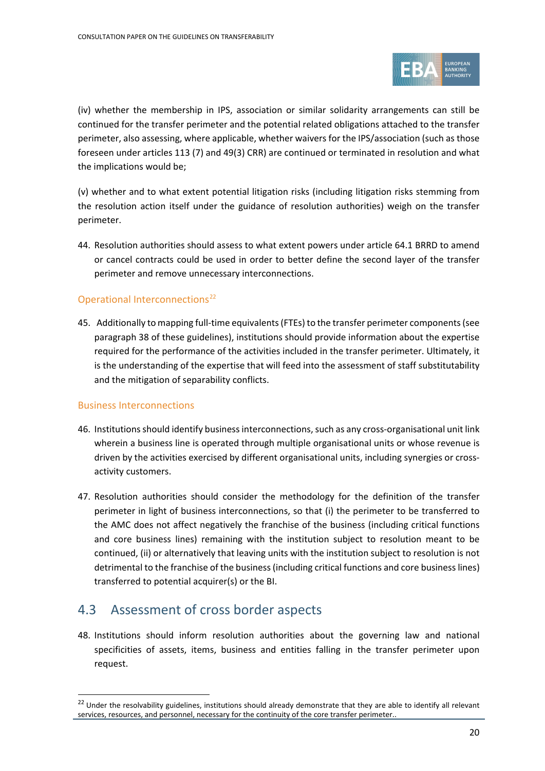

(iv) whether the membership in IPS, association or similar solidarity arrangements can still be continued for the transfer perimeter and the potential related obligations attached to the transfer perimeter, also assessing, where applicable, whether waivers for the IPS/association (such as those foreseen under articles 113 (7) and 49(3) CRR) are continued or terminated in resolution and what the implications would be;

(v) whether and to what extent potential litigation risks (including litigation risks stemming from the resolution action itself under the guidance of resolution authorities) weigh on the transfer perimeter.

<span id="page-19-1"></span>44. Resolution authorities should assess to what extent powers under article 64.1 BRRD to amend or cancel contracts could be used in order to better define the second layer of the transfer perimeter and remove unnecessary interconnections.

## Operational Interconnections<sup>[22](#page-19-2)</sup>

45. Additionally to mapping full-time equivalents (FTEs) to the transfer perimeter components(see paragrap[h 38](#page-16-2) of these guidelines), institutions should provide information about the expertise required for the performance of the activities included in the transfer perimeter. Ultimately, it is the understanding of the expertise that will feed into the assessment of staff substitutability and the mitigation of separability conflicts.

### Business Interconnections

- 46. Institutions should identify business interconnections, such as any cross-organisational unit link wherein a business line is operated through multiple organisational units or whose revenue is driven by the activities exercised by different organisational units, including synergies or crossactivity customers.
- <span id="page-19-0"></span>47. Resolution authorities should consider the methodology for the definition of the transfer perimeter in light of business interconnections, so that (i) the perimeter to be transferred to the AMC does not affect negatively the franchise of the business (including critical functions and core business lines) remaining with the institution subject to resolution meant to be continued, (ii) or alternatively that leaving units with the institution subject to resolution is not detrimental to the franchise of the business (including critical functions and core business lines) transferred to potential acquirer(s) or the BI.

# 4.3 Assessment of cross border aspects

48. Institutions should inform resolution authorities about the governing law and national specificities of assets, items, business and entities falling in the transfer perimeter upon request.

<span id="page-19-2"></span><sup>&</sup>lt;sup>22</sup> Under the resolvability guidelines, institutions should already demonstrate that they are able to identify all relevant services, resources, and personnel, necessary for the continuity of the core transfer perimeter..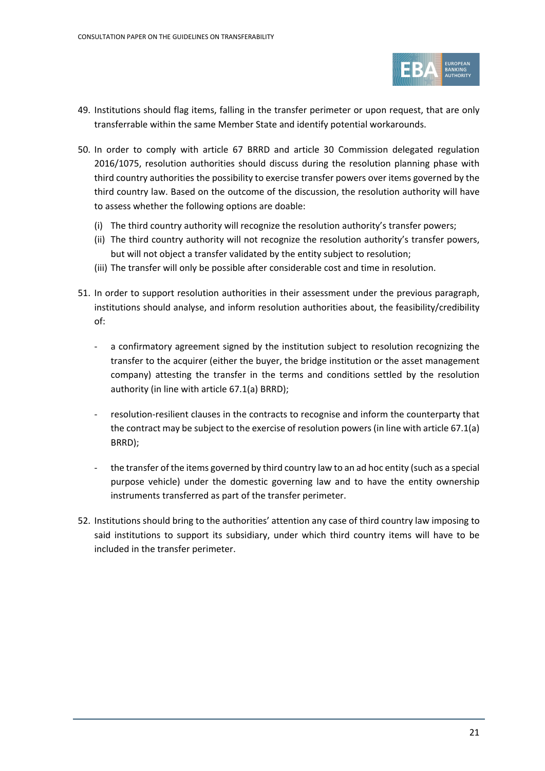

- 49. Institutions should flag items, falling in the transfer perimeter or upon request, that are only transferrable within the same Member State and identify potential workarounds.
- 50. In order to comply with article 67 BRRD and article 30 Commission delegated regulation 2016/1075, resolution authorities should discuss during the resolution planning phase with third country authorities the possibility to exercise transfer powers over items governed by the third country law. Based on the outcome of the discussion, the resolution authority will have to assess whether the following options are doable:
	- (i) The third country authority will recognize the resolution authority's transfer powers;
	- (ii) The third country authority will not recognize the resolution authority's transfer powers, but will not object a transfer validated by the entity subject to resolution;
	- (iii) The transfer will only be possible after considerable cost and time in resolution.
- <span id="page-20-1"></span>51. In order to support resolution authorities in their assessment under the previous paragraph, institutions should analyse, and inform resolution authorities about, the feasibility/credibility of:
	- a confirmatory agreement signed by the institution subject to resolution recognizing the transfer to the acquirer (either the buyer, the bridge institution or the asset management company) attesting the transfer in the terms and conditions settled by the resolution authority (in line with article 67.1(a) BRRD);
	- resolution-resilient clauses in the contracts to recognise and inform the counterparty that the contract may be subject to the exercise of resolution powers(in line with article 67.1(a) BRRD);
	- the transfer of the items governed by third country law to an ad hoc entity (such as a special purpose vehicle) under the domestic governing law and to have the entity ownership instruments transferred as part of the transfer perimeter.
- <span id="page-20-0"></span>52. Institutions should bring to the authorities' attention any case of third country law imposing to said institutions to support its subsidiary, under which third country items will have to be included in the transfer perimeter.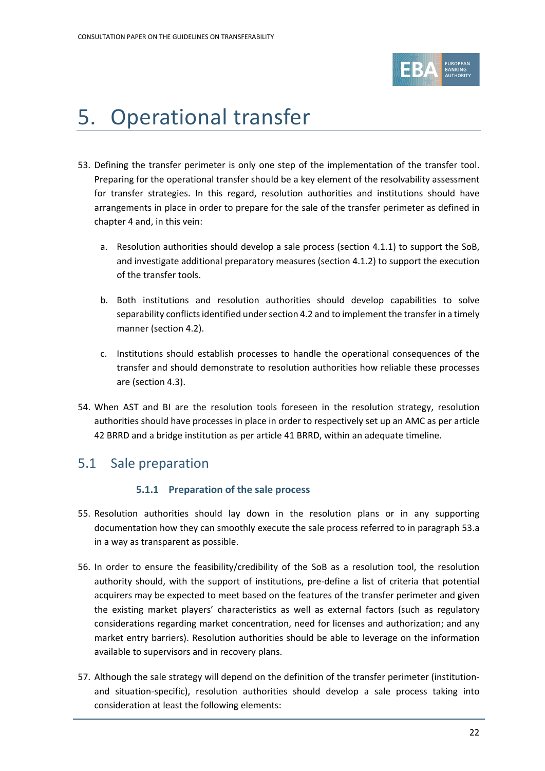

# 5. Operational transfer

- <span id="page-21-0"></span>53. Defining the transfer perimeter is only one step of the implementation of the transfer tool. Preparing for the operational transfer should be a key element of the resolvability assessment for transfer strategies. In this regard, resolution authorities and institutions should have arrangements in place in order to prepare for the sale of the transfer perimeter as defined in chapter [4](#page-11-0) and, in this vein:
	- a. Resolution authorities should develop a sale process (section 4.1.1) to support the SoB, and investigate additional preparatory measures (section 4.1.2) to support the execution of the transfer tools.
	- b. Both institutions and resolution authorities should develop capabilities to solve separability conflicts identified under section 4.2 and to implement the transfer in a timely manner (section 4.2).
	- c. Institutions should establish processes to handle the operational consequences of the transfer and should demonstrate to resolution authorities how reliable these processes are (section 4.3).
- 54. When AST and BI are the resolution tools foreseen in the resolution strategy, resolution authorities should have processes in place in order to respectively set up an AMC as per article 42 BRRD and a bridge institution as per article 41 BRRD, within an adequate timeline.

# 5.1 Sale preparation

## **5.1.1 Preparation of the sale process**

- 55. Resolution authorities should lay down in the resolution plans or in any supporting documentation how they can smoothly execute the sale process referred to in paragraph [53.](#page-21-0)a in a way as transparent as possible.
- 56. In order to ensure the feasibility/credibility of the SoB as a resolution tool, the resolution authority should, with the support of institutions, pre-define a list of criteria that potential acquirers may be expected to meet based on the features of the transfer perimeter and given the existing market players' characteristics as well as external factors (such as regulatory considerations regarding market concentration, need for licenses and authorization; and any market entry barriers). Resolution authorities should be able to leverage on the information available to supervisors and in recovery plans.
- 57. Although the sale strategy will depend on the definition of the transfer perimeter (institutionand situation-specific), resolution authorities should develop a sale process taking into consideration at least the following elements: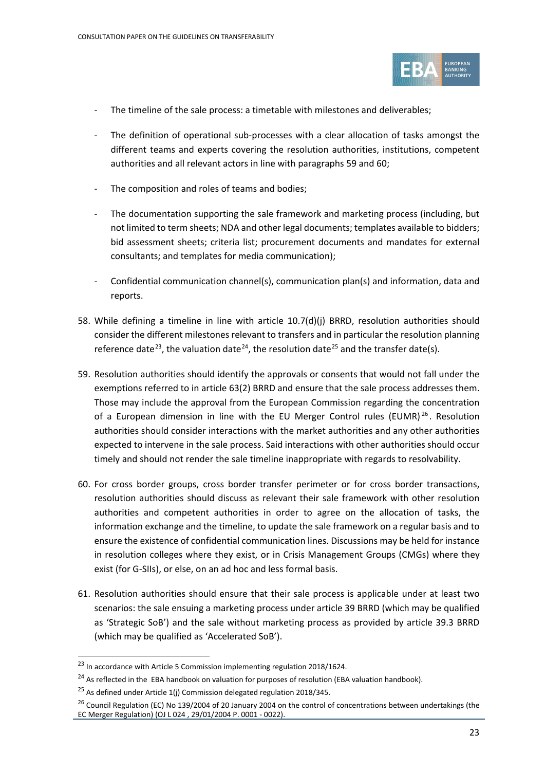

- The timeline of the sale process: a timetable with milestones and deliverables:
- The definition of operational sub-processes with a clear allocation of tasks amongst the different teams and experts covering the resolution authorities, institutions, competent authorities and all relevant actors in line with paragraph[s 59](#page-22-0) and [60;](#page-22-1)
- The composition and roles of teams and bodies;
- The documentation supporting the sale framework and marketing process (including, but not limited to term sheets; NDA and other legal documents; templates available to bidders; bid assessment sheets; criteria list; procurement documents and mandates for external consultants; and templates for media communication);
- Confidential communication channel(s), communication plan(s) and information, data and reports.
- 58. While defining a timeline in line with article 10.7(d)(j) BRRD, resolution authorities should consider the different milestones relevant to transfers and in particular the resolution planning reference date<sup>23</sup>, the valuation date<sup>[24](#page-22-3)</sup>, the resolution date<sup>[25](#page-22-4)</sup> and the transfer date(s).
- <span id="page-22-0"></span>59. Resolution authorities should identify the approvals or consents that would not fall under the exemptions referred to in article 63(2) BRRD and ensure that the sale process addresses them. Those may include the approval from the European Commission regarding the concentration of a European dimension in line with the EU Merger Control rules (EUMR)<sup>[26](#page-22-5)</sup>. Resolution authorities should consider interactions with the market authorities and any other authorities expected to intervene in the sale process. Said interactions with other authorities should occur timely and should not render the sale timeline inappropriate with regards to resolvability.
- <span id="page-22-1"></span>60. For cross border groups, cross border transfer perimeter or for cross border transactions, resolution authorities should discuss as relevant their sale framework with other resolution authorities and competent authorities in order to agree on the allocation of tasks, the information exchange and the timeline, to update the sale framework on a regular basis and to ensure the existence of confidential communication lines. Discussions may be held for instance in resolution colleges where they exist, or in Crisis Management Groups (CMGs) where they exist (for G-SIIs), or else, on an ad hoc and less formal basis.
- 61. Resolution authorities should ensure that their sale process is applicable under at least two scenarios: the sale ensuing a marketing process under article 39 BRRD (which may be qualified as 'Strategic SoB') and the sale without marketing process as provided by article 39.3 BRRD (which may be qualified as 'Accelerated SoB').

<span id="page-22-2"></span><sup>&</sup>lt;sup>23</sup> In accordance with Article 5 Commission implementing regulation 2018/1624.

<span id="page-22-3"></span> $^{24}$  As reflected in the EBA handbook on valuation for purposes of resolution (EBA valuation handbook).

 $^{25}$  As defined under Article 1(j) Commission delegated regulation 2018/345.

<span id="page-22-5"></span><span id="page-22-4"></span><sup>&</sup>lt;sup>26</sup> Council Regulation (EC) No 139/2004 of 20 January 2004 on the control of concentrations between undertakings (the EC Merger Regulation) (OJ L 024 , 29/01/2004 P. 0001 - 0022).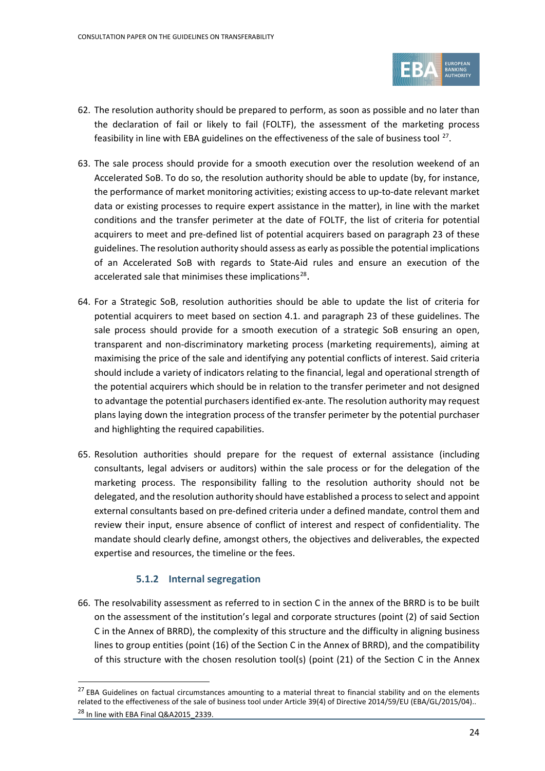

- 62. The resolution authority should be prepared to perform, as soon as possible and no later than the declaration of fail or likely to fail (FOLTF), the assessment of the marketing process feasibility in line with EBA guidelines on the effectiveness of the sale of business tool  $27$ .
- 63. The sale process should provide for a smooth execution over the resolution weekend of an Accelerated SoB. To do so, the resolution authority should be able to update (by, for instance, the performance of market monitoring activities; existing access to up-to-date relevant market data or existing processes to require expert assistance in the matter), in line with the market conditions and the transfer perimeter at the date of FOLTF, the list of criteria for potential acquirers to meet and pre-defined list of potential acquirers based on paragraph [23](#page-13-2) of these guidelines. The resolution authority should assess as early as possible the potential implications of an Accelerated SoB with regards to State-Aid rules and ensure an execution of the accelerated sale that minimises these implications<sup>[28](#page-23-1)</sup>.
- 64. For a Strategic SoB, resolution authorities should be able to update the list of criteria for potential acquirers to meet based on section 4.1. and paragraph [23](#page-13-2) of these guidelines. The sale process should provide for a smooth execution of a strategic SoB ensuring an open, transparent and non-discriminatory marketing process (marketing requirements), aiming at maximising the price of the sale and identifying any potential conflicts of interest. Said criteria should include a variety of indicators relating to the financial, legal and operational strength of the potential acquirers which should be in relation to the transfer perimeter and not designed to advantage the potential purchasers identified ex-ante. The resolution authority may request plans laying down the integration process of the transfer perimeter by the potential purchaser and highlighting the required capabilities.
- 65. Resolution authorities should prepare for the request of external assistance (including consultants, legal advisers or auditors) within the sale process or for the delegation of the marketing process. The responsibility falling to the resolution authority should not be delegated, and the resolution authority should have established a process to select and appoint external consultants based on pre-defined criteria under a defined mandate, control them and review their input, ensure absence of conflict of interest and respect of confidentiality. The mandate should clearly define, amongst others, the objectives and deliverables, the expected expertise and resources, the timeline or the fees.

## **5.1.2 Internal segregation**

66. The resolvability assessment as referred to in section C in the annex of the BRRD is to be built on the assessment of the institution's legal and corporate structures (point (2) of said Section C in the Annex of BRRD), the complexity of this structure and the difficulty in aligning business lines to group entities (point (16) of the Section C in the Annex of BRRD), and the compatibility of this structure with the chosen resolution tool(s) (point (21) of the Section C in the Annex

<span id="page-23-1"></span><span id="page-23-0"></span> $27$  EBA Guidelines on factual circumstances amounting to a material threat to financial stability and on the elements related to the effectiveness of the sale of business tool under Article 39(4) of Directive 2014/59/EU (EBA/GL/2015/04).. <sup>28</sup> In line with EBA Final Q&A2015\_2339.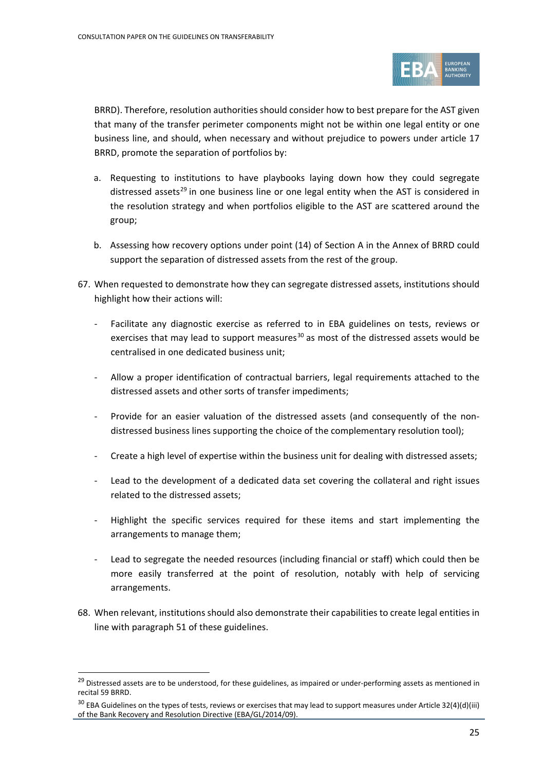

BRRD). Therefore, resolution authorities should consider how to best prepare for the AST given that many of the transfer perimeter components might not be within one legal entity or one business line, and should, when necessary and without prejudice to powers under article 17 BRRD, promote the separation of portfolios by:

- a. Requesting to institutions to have playbooks laying down how they could segregate distressed assets<sup>[29](#page-24-0)</sup> in one business line or one legal entity when the AST is considered in the resolution strategy and when portfolios eligible to the AST are scattered around the group;
- b. Assessing how recovery options under point (14) of Section A in the Annex of BRRD could support the separation of distressed assets from the rest of the group.
- 67. When requested to demonstrate how they can segregate distressed assets, institutions should highlight how their actions will:
	- Facilitate any diagnostic exercise as referred to in EBA guidelines on tests, reviews or exercises that may lead to support measures $^{30}$  $^{30}$  $^{30}$  as most of the distressed assets would be centralised in one dedicated business unit;
	- Allow a proper identification of contractual barriers, legal requirements attached to the distressed assets and other sorts of transfer impediments;
	- Provide for an easier valuation of the distressed assets (and consequently of the nondistressed business lines supporting the choice of the complementary resolution tool);
	- Create a high level of expertise within the business unit for dealing with distressed assets;
	- Lead to the development of a dedicated data set covering the collateral and right issues related to the distressed assets;
	- Highlight the specific services required for these items and start implementing the arrangements to manage them;
	- Lead to segregate the needed resources (including financial or staff) which could then be more easily transferred at the point of resolution, notably with help of servicing arrangements.
- 68. When relevant, institutions should also demonstrate their capabilities to create legal entities in line with paragrap[h 51](#page-20-1) of these guidelines.

<span id="page-24-0"></span><sup>&</sup>lt;sup>29</sup> Distressed assets are to be understood, for these guidelines, as impaired or under-performing assets as mentioned in recital 59 BRRD.

<span id="page-24-1"></span> $30$  EBA Guidelines on the types of tests, reviews or exercises that may lead to support measures under Article 32(4)(d)(iii) of the Bank Recovery and Resolution Directive (EBA/GL/2014/09).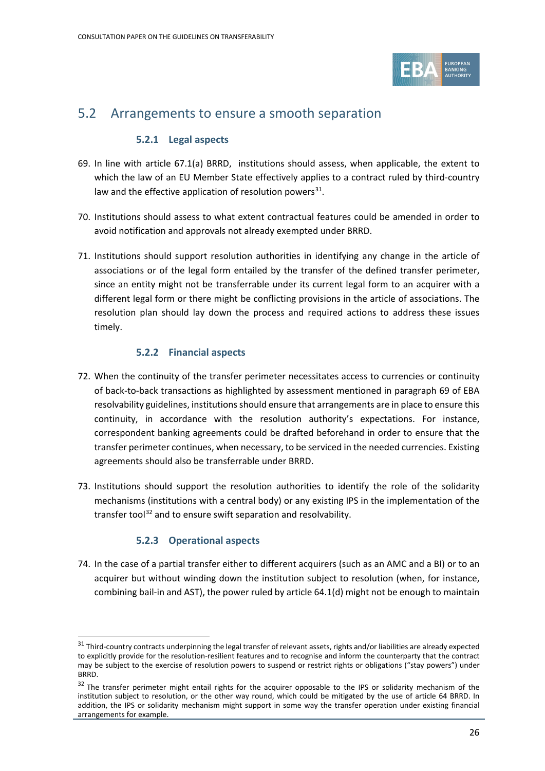

# 5.2 Arrangements to ensure a smooth separation

## **5.2.1 Legal aspects**

- 69. In line with article 67.1(a) BRRD, institutions should assess, when applicable, the extent to which the law of an EU Member State effectively applies to a contract ruled by third-country law and the effective application of resolution powers $^{31}$ .
- 70. Institutions should assess to what extent contractual features could be amended in order to avoid notification and approvals not already exempted under BRRD.
- 71. Institutions should support resolution authorities in identifying any change in the article of associations or of the legal form entailed by the transfer of the defined transfer perimeter, since an entity might not be transferrable under its current legal form to an acquirer with a different legal form or there might be conflicting provisions in the article of associations. The resolution plan should lay down the process and required actions to address these issues timely.

## **5.2.2 Financial aspects**

- 72. When the continuity of the transfer perimeter necessitates access to currencies or continuity of back-to-back transactions as highlighted by assessment mentioned in paragraph 69 of EBA resolvability guidelines, institutions should ensure that arrangements are in place to ensure this continuity, in accordance with the resolution authority's expectations. For instance, correspondent banking agreements could be drafted beforehand in order to ensure that the transfer perimeter continues, when necessary, to be serviced in the needed currencies. Existing agreements should also be transferrable under BRRD.
- 73. Institutions should support the resolution authorities to identify the role of the solidarity mechanisms (institutions with a central body) or any existing IPS in the implementation of the transfer tool<sup>[32](#page-25-1)</sup> and to ensure swift separation and resolvability.

## **5.2.3 Operational aspects**

74. In the case of a partial transfer either to different acquirers (such as an AMC and a BI) or to an acquirer but without winding down the institution subject to resolution (when, for instance, combining bail-in and AST), the power ruled by article 64.1(d) might not be enough to maintain

<span id="page-25-0"></span> $31$  Third-country contracts underpinning the legal transfer of relevant assets, rights and/or liabilities are already expected to explicitly provide for the resolution-resilient features and to recognise and inform the counterparty that the contract may be subject to the exercise of resolution powers to suspend or restrict rights or obligations ("stay powers") under BRRD.

<span id="page-25-1"></span><sup>&</sup>lt;sup>32</sup> The transfer perimeter might entail rights for the acquirer opposable to the IPS or solidarity mechanism of the institution subject to resolution, or the other way round, which could be mitigated by the use of article 64 BRRD. In addition, the IPS or solidarity mechanism might support in some way the transfer operation under existing financial arrangements for example.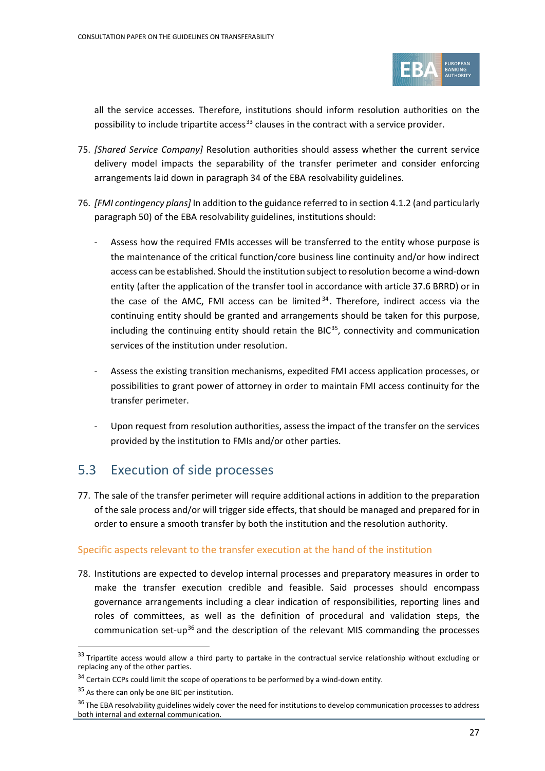

all the service accesses. Therefore, institutions should inform resolution authorities on the possibility to include tripartite access<sup>[33](#page-26-0)</sup> clauses in the contract with a service provider.

- 75. *[Shared Service Company]* Resolution authorities should assess whether the current service delivery model impacts the separability of the transfer perimeter and consider enforcing arrangements laid down in paragraph 34 of the EBA resolvability guidelines.
- 76. *[FMI contingency plans]* In addition to the guidance referred to in section 4.1.2 (and particularly paragraph 50) of the EBA resolvability guidelines, institutions should:
	- Assess how the required FMIs accesses will be transferred to the entity whose purpose is the maintenance of the critical function/core business line continuity and/or how indirect access can be established. Should the institution subject to resolution become a wind-down entity (after the application of the transfer tool in accordance with article 37.6 BRRD) or in the case of the AMC, FMI access can be limited  $34$ . Therefore, indirect access via the continuing entity should be granted and arrangements should be taken for this purpose, including the continuing entity should retain the BIC $35$ , connectivity and communication services of the institution under resolution.
	- Assess the existing transition mechanisms, expedited FMI access application processes, or possibilities to grant power of attorney in order to maintain FMI access continuity for the transfer perimeter.
	- Upon request from resolution authorities, assess the impact of the transfer on the services provided by the institution to FMIs and/or other parties.

# 5.3 Execution of side processes

77. The sale of the transfer perimeter will require additional actions in addition to the preparation of the sale process and/or will trigger side effects, that should be managed and prepared for in order to ensure a smooth transfer by both the institution and the resolution authority.

### Specific aspects relevant to the transfer execution at the hand of the institution

<span id="page-26-4"></span>78. Institutions are expected to develop internal processes and preparatory measures in order to make the transfer execution credible and feasible. Said processes should encompass governance arrangements including a clear indication of responsibilities, reporting lines and roles of committees, as well as the definition of procedural and validation steps, the communication set-up<sup>[36](#page-26-3)</sup> and the description of the relevant MIS commanding the processes

<span id="page-26-0"></span> $33$  Tripartite access would allow a third party to partake in the contractual service relationship without excluding or replacing any of the other parties.

<span id="page-26-1"></span> $34$  Certain CCPs could limit the scope of operations to be performed by a wind-down entity.

<sup>&</sup>lt;sup>35</sup> As there can only be one BIC per institution.

<span id="page-26-3"></span><span id="page-26-2"></span><sup>&</sup>lt;sup>36</sup> The EBA resolvability guidelines widely cover the need for institutions to develop communication processes to address both internal and external communication.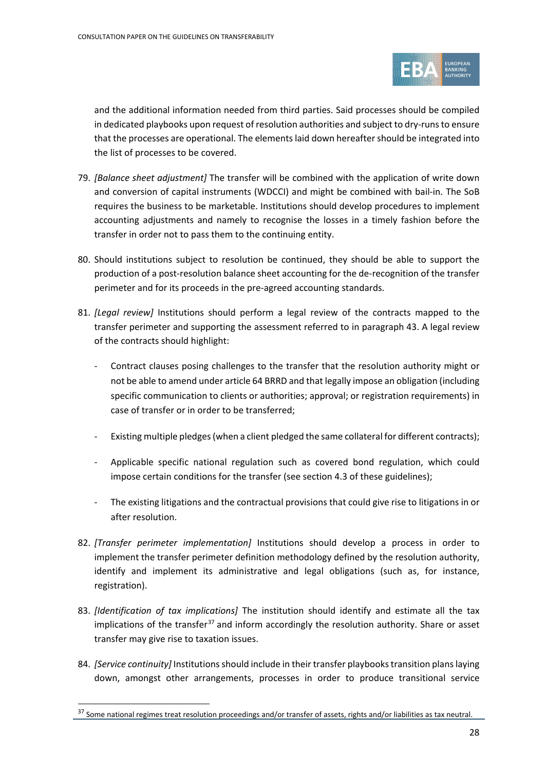

and the additional information needed from third parties. Said processes should be compiled in dedicated playbooks upon request of resolution authorities and subject to dry-runs to ensure that the processes are operational. The elements laid down hereafter should be integrated into the list of processes to be covered.

- 79. *[Balance sheet adjustment]* The transfer will be combined with the application of write down and conversion of capital instruments (WDCCI) and might be combined with bail-in. The SoB requires the business to be marketable. Institutions should develop procedures to implement accounting adjustments and namely to recognise the losses in a timely fashion before the transfer in order not to pass them to the continuing entity.
- 80. Should institutions subject to resolution be continued, they should be able to support the production of a post-resolution balance sheet accounting for the de-recognition of the transfer perimeter and for its proceeds in the pre-agreed accounting standards.
- 81. *[Legal review]* Institutions should perform a legal review of the contracts mapped to the transfer perimeter and supporting the assessment referred to in paragraph [43.](#page-18-3) A legal review of the contracts should highlight:
	- Contract clauses posing challenges to the transfer that the resolution authority might or not be able to amend under article 64 BRRD and that legally impose an obligation (including specific communication to clients or authorities; approval; or registration requirements) in case of transfer or in order to be transferred;
	- Existing multiple pledges (when a client pledged the same collateral for different contracts);
	- Applicable specific national regulation such as covered bond regulation, which could impose certain conditions for the transfer (see sectio[n 4.](#page-11-0)3 of these guidelines);
	- The existing litigations and the contractual provisions that could give rise to litigations in or after resolution.
- 82. *[Transfer perimeter implementation]* Institutions should develop a process in order to implement the transfer perimeter definition methodology defined by the resolution authority, identify and implement its administrative and legal obligations (such as, for instance, registration).
- 83. *[Identification of tax implications]* The institution should identify and estimate all the tax implications of the transfer<sup>[37](#page-27-0)</sup> and inform accordingly the resolution authority. Share or asset transfer may give rise to taxation issues.
- <span id="page-27-1"></span>84. *[Service continuity]* Institutions should include in their transfer playbooks transition plans laying down, amongst other arrangements, processes in order to produce transitional service

<span id="page-27-0"></span><sup>&</sup>lt;sup>37</sup> Some national regimes treat resolution proceedings and/or transfer of assets, rights and/or liabilities as tax neutral.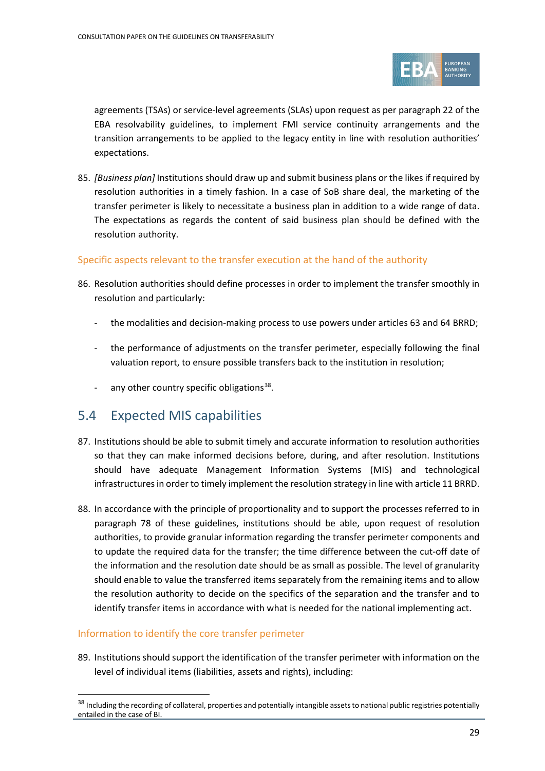

agreements (TSAs) or service-level agreements (SLAs) upon request as per paragraph 22 of the EBA resolvability guidelines, to implement FMI service continuity arrangements and the transition arrangements to be applied to the legacy entity in line with resolution authorities' expectations.

85. *[Business plan]* Institutions should draw up and submit business plans or the likes if required by resolution authorities in a timely fashion. In a case of SoB share deal, the marketing of the transfer perimeter is likely to necessitate a business plan in addition to a wide range of data. The expectations as regards the content of said business plan should be defined with the resolution authority.

### Specific aspects relevant to the transfer execution at the hand of the authority

- 86. Resolution authorities should define processes in order to implement the transfer smoothly in resolution and particularly:
	- the modalities and decision-making process to use powers under articles 63 and 64 BRRD;
	- the performance of adjustments on the transfer perimeter, especially following the final valuation report, to ensure possible transfers back to the institution in resolution;
	- any other country specific obligations $38$ .

## 5.4 Expected MIS capabilities

- 87. Institutions should be able to submit timely and accurate information to resolution authorities so that they can make informed decisions before, during, and after resolution. Institutions should have adequate Management Information Systems (MIS) and technological infrastructures in order to timely implement the resolution strategy in line with article 11 BRRD.
- 88. In accordance with the principle of proportionality and to support the processes referred to in paragraph [78](#page-26-4) of these guidelines, institutions should be able, upon request of resolution authorities, to provide granular information regarding the transfer perimeter components and to update the required data for the transfer; the time difference between the cut-off date of the information and the resolution date should be as small as possible. The level of granularity should enable to value the transferred items separately from the remaining items and to allow the resolution authority to decide on the specifics of the separation and the transfer and to identify transfer items in accordance with what is needed for the national implementing act.

### Information to identify the core transfer perimeter

89. Institutions should support the identification of the transfer perimeter with information on the level of individual items (liabilities, assets and rights), including:

<span id="page-28-0"></span><sup>&</sup>lt;sup>38</sup> Including the recording of collateral, properties and potentially intangible assets to national public registries potentially entailed in the case of BI.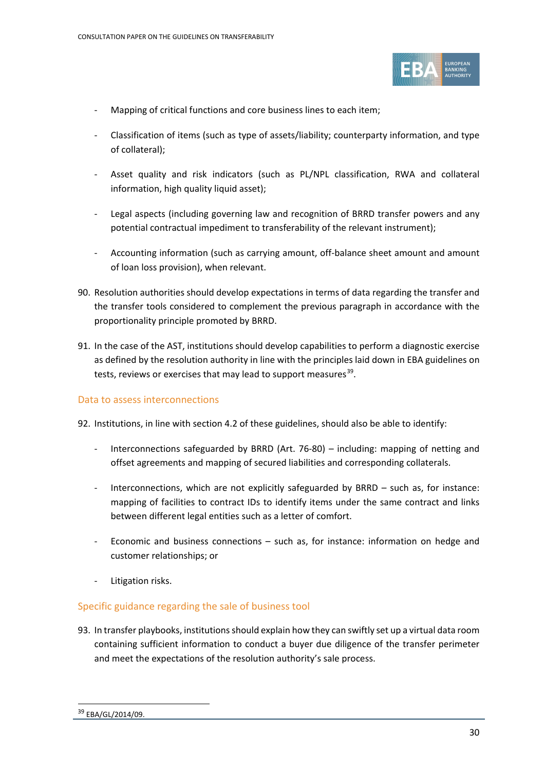

- Mapping of critical functions and core business lines to each item;
- Classification of items (such as type of assets/liability; counterparty information, and type of collateral);
- Asset quality and risk indicators (such as PL/NPL classification, RWA and collateral information, high quality liquid asset);
- Legal aspects (including governing law and recognition of BRRD transfer powers and any potential contractual impediment to transferability of the relevant instrument);
- Accounting information (such as carrying amount, off-balance sheet amount and amount of loan loss provision), when relevant.
- 90. Resolution authorities should develop expectations in terms of data regarding the transfer and the transfer tools considered to complement the previous paragraph in accordance with the proportionality principle promoted by BRRD.
- 91. In the case of the AST, institutions should develop capabilities to perform a diagnostic exercise as defined by the resolution authority in line with the principles laid down in EBA guidelines on tests, reviews or exercises that may lead to support measures<sup>[39](#page-29-0)</sup>.

### Data to assess interconnections

- 92. Institutions, in line with section 4.2 of these guidelines, should also be able to identify:
	- Interconnections safeguarded by BRRD (Art. 76-80) including: mapping of netting and offset agreements and mapping of secured liabilities and corresponding collaterals.
	- Interconnections, which are not explicitly safeguarded by BRRD such as, for instance: mapping of facilities to contract IDs to identify items under the same contract and links between different legal entities such as a letter of comfort.
	- Economic and business connections such as, for instance: information on hedge and customer relationships; or
	- Litigation risks.

### Specific guidance regarding the sale of business tool

<span id="page-29-0"></span>93. In transfer playbooks, institutions should explain how they can swiftly set up a virtual data room containing sufficient information to conduct a buyer due diligence of the transfer perimeter and meet the expectations of the resolution authority's sale process.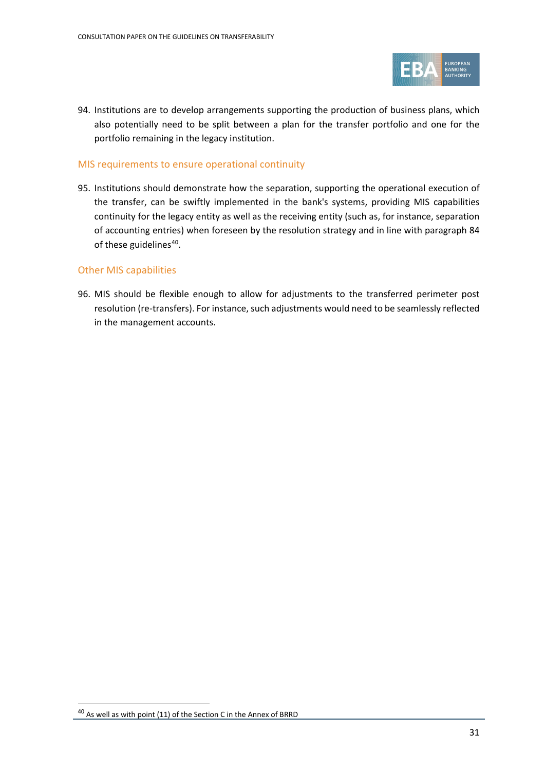

94. Institutions are to develop arrangements supporting the production of business plans, which also potentially need to be split between a plan for the transfer portfolio and one for the portfolio remaining in the legacy institution.

#### MIS requirements to ensure operational continuity

95. Institutions should demonstrate how the separation, supporting the operational execution of the transfer, can be swiftly implemented in the bank's systems, providing MIS capabilities continuity for the legacy entity as well as the receiving entity (such as, for instance, separation of accounting entries) when foreseen by the resolution strategy and in line with paragraph [84](#page-27-1) of these guidelines<sup>40</sup>.

### Other MIS capabilities

96. MIS should be flexible enough to allow for adjustments to the transferred perimeter post resolution (re-transfers). For instance, such adjustments would need to be seamlessly reflected in the management accounts.

<span id="page-30-0"></span><sup>&</sup>lt;sup>40</sup> As well as with point (11) of the Section C in the Annex of BRRD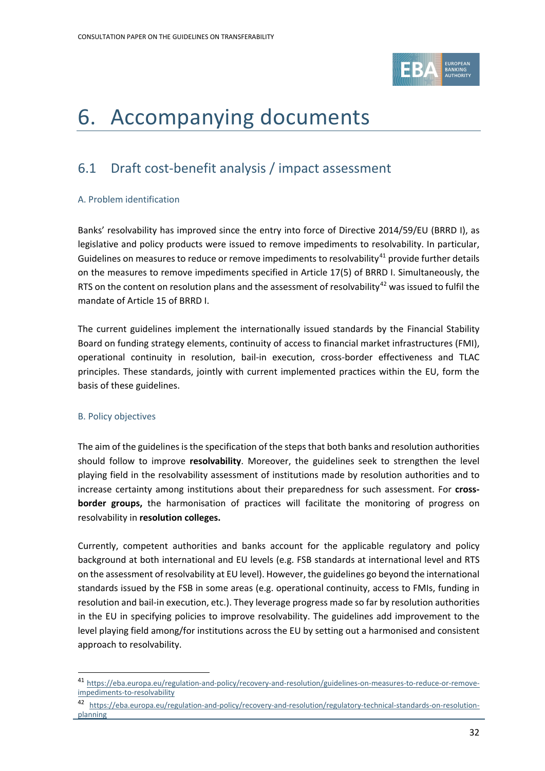

# <span id="page-31-0"></span>6. Accompanying documents

# <span id="page-31-1"></span>6.1 Draft cost-benefit analysis / impact assessment

### A. Problem identification

Banks' resolvability has improved since the entry into force of Directive 2014/59/EU (BRRD I), as legislative and policy products were issued to remove impediments to resolvability. In particular, Guidelines on measures to reduce or remove impediments to resolvability $41$  provide further details on the measures to remove impediments specified in Article 17(5) of BRRD I. Simultaneously, the RTS on the content on resolution plans and the assessment of resolvability<sup>[42](#page-31-3)</sup> was issued to fulfil the mandate of Article 15 of BRRD I.

The current guidelines implement the internationally issued standards by the Financial Stability Board on funding strategy elements, continuity of access to financial market infrastructures (FMI), operational continuity in resolution, bail-in execution, cross-border effectiveness and TLAC principles. These standards, jointly with current implemented practices within the EU, form the basis of these guidelines.

#### B. Policy objectives

The aim of the guidelines is the specification of the steps that both banks and resolution authorities should follow to improve **resolvability**. Moreover, the guidelines seek to strengthen the level playing field in the resolvability assessment of institutions made by resolution authorities and to increase certainty among institutions about their preparedness for such assessment. For **crossborder groups,** the harmonisation of practices will facilitate the monitoring of progress on resolvability in **resolution colleges.**

Currently, competent authorities and banks account for the applicable regulatory and policy background at both international and EU levels (e.g. FSB standards at international level and RTS on the assessment of resolvability at EU level). However, the guidelines go beyond the international standards issued by the FSB in some areas (e.g. operational continuity, access to FMIs, funding in resolution and bail-in execution, etc.). They leverage progress made so far by resolution authorities in the EU in specifying policies to improve resolvability. The guidelines add improvement to the level playing field among/for institutions across the EU by setting out a harmonised and consistent approach to resolvability.

<span id="page-31-2"></span><sup>41</sup> [https://eba.europa.eu/regulation-and-policy/recovery-and-resolution/guidelines-on-measures-to-reduce-or-remove](https://eba.europa.eu/regulation-and-policy/recovery-and-resolution/guidelines-on-measures-to-reduce-or-remove-impediments-to-resolvability)[impediments-to-resolvability](https://eba.europa.eu/regulation-and-policy/recovery-and-resolution/guidelines-on-measures-to-reduce-or-remove-impediments-to-resolvability)

<span id="page-31-3"></span><sup>42</sup> [https://eba.europa.eu/regulation-and-policy/recovery-and-resolution/regulatory-technical-standards-on-resolution](https://eba.europa.eu/regulation-and-policy/recovery-and-resolution/regulatory-technical-standards-on-resolution-planning)[planning](https://eba.europa.eu/regulation-and-policy/recovery-and-resolution/regulatory-technical-standards-on-resolution-planning)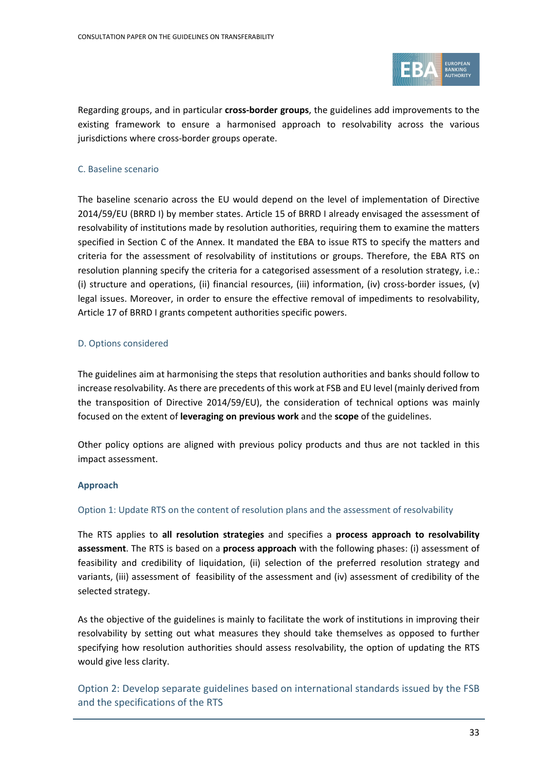

Regarding groups, and in particular **cross-border groups**, the guidelines add improvements to the existing framework to ensure a harmonised approach to resolvability across the various jurisdictions where cross-border groups operate.

### C. Baseline scenario

The baseline scenario across the EU would depend on the level of implementation of Directive 2014/59/EU (BRRD I) by member states. Article 15 of BRRD I already envisaged the assessment of resolvability of institutions made by resolution authorities, requiring them to examine the matters specified in Section C of the Annex. It mandated the EBA to issue RTS to specify the matters and criteria for the assessment of resolvability of institutions or groups. Therefore, the EBA RTS on resolution planning specify the criteria for a categorised assessment of a resolution strategy, i.e.: (i) structure and operations, (ii) financial resources, (iii) information, (iv) cross-border issues, (v) legal issues. Moreover, in order to ensure the effective removal of impediments to resolvability, Article 17 of BRRD I grants competent authorities specific powers.

#### D. Options considered

The guidelines aim at harmonising the steps that resolution authorities and banks should follow to increase resolvability. As there are precedents of this work at FSB and EU level (mainly derived from the transposition of Directive 2014/59/EU), the consideration of technical options was mainly focused on the extent of **leveraging on previous work** and the **scope** of the guidelines.

Other policy options are aligned with previous policy products and thus are not tackled in this impact assessment.

#### **Approach**

#### Option 1: Update RTS on the content of resolution plans and the assessment of resolvability

The RTS applies to **all resolution strategies** and specifies a **process approach to resolvability assessment**. The RTS is based on a **process approach** with the following phases: (i) assessment of feasibility and credibility of liquidation, (ii) selection of the preferred resolution strategy and variants, (iii) assessment of feasibility of the assessment and (iv) assessment of credibility of the selected strategy.

As the objective of the guidelines is mainly to facilitate the work of institutions in improving their resolvability by setting out what measures they should take themselves as opposed to further specifying how resolution authorities should assess resolvability, the option of updating the RTS would give less clarity.

Option 2: Develop separate guidelines based on international standards issued by the FSB and the specifications of the RTS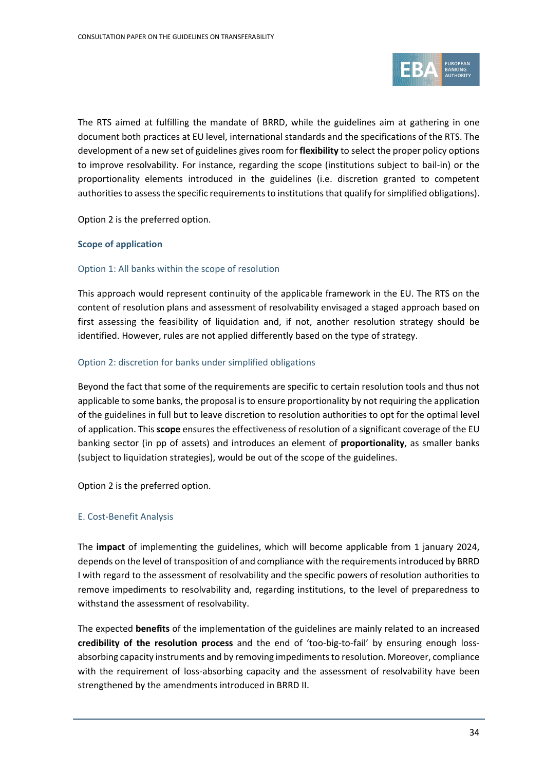

The RTS aimed at fulfilling the mandate of BRRD, while the guidelines aim at gathering in one document both practices at EU level, international standards and the specifications of the RTS. The development of a new set of guidelines gives room for **flexibility** to select the proper policy options to improve resolvability. For instance, regarding the scope (institutions subject to bail-in) or the proportionality elements introduced in the guidelines (i.e. discretion granted to competent authorities to assess the specific requirements to institutions that qualify for simplified obligations).

Option 2 is the preferred option.

#### **Scope of application**

#### Option 1: All banks within the scope of resolution

This approach would represent continuity of the applicable framework in the EU. The RTS on the content of resolution plans and assessment of resolvability envisaged a staged approach based on first assessing the feasibility of liquidation and, if not, another resolution strategy should be identified. However, rules are not applied differently based on the type of strategy.

#### Option 2: discretion for banks under simplified obligations

Beyond the fact that some of the requirements are specific to certain resolution tools and thus not applicable to some banks, the proposal is to ensure proportionality by not requiring the application of the guidelines in full but to leave discretion to resolution authorities to opt for the optimal level of application. This **scope** ensures the effectiveness of resolution of a significant coverage of the EU banking sector (in pp of assets) and introduces an element of **proportionality**, as smaller banks (subject to liquidation strategies), would be out of the scope of the guidelines.

Option 2 is the preferred option.

#### E. Cost-Benefit Analysis

The **impact** of implementing the guidelines, which will become applicable from 1 january 2024, depends on the level of transposition of and compliance with the requirements introduced by BRRD I with regard to the assessment of resolvability and the specific powers of resolution authorities to remove impediments to resolvability and, regarding institutions, to the level of preparedness to withstand the assessment of resolvability.

The expected **benefits** of the implementation of the guidelines are mainly related to an increased **credibility of the resolution process** and the end of 'too-big-to-fail' by ensuring enough lossabsorbing capacity instruments and by removing impediments to resolution. Moreover, compliance with the requirement of loss-absorbing capacity and the assessment of resolvability have been strengthened by the amendments introduced in BRRD II.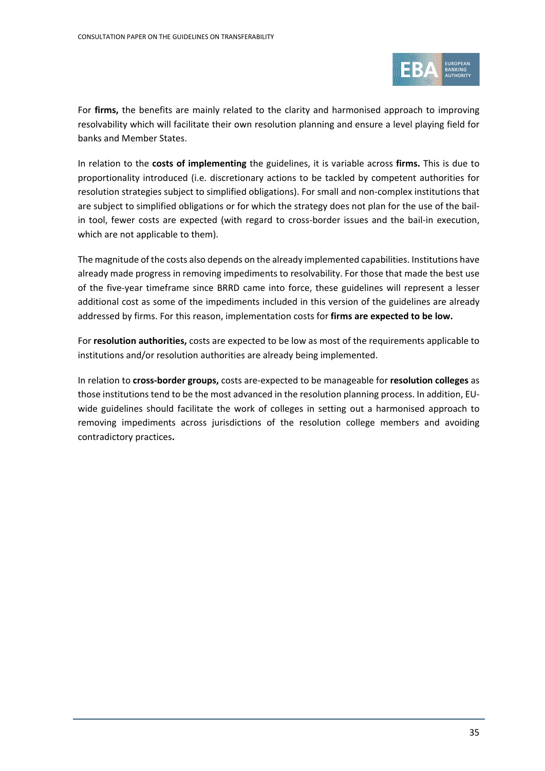

For **firms,** the benefits are mainly related to the clarity and harmonised approach to improving resolvability which will facilitate their own resolution planning and ensure a level playing field for banks and Member States.

In relation to the **costs of implementing** the guidelines, it is variable across **firms.** This is due to proportionality introduced (i.e. discretionary actions to be tackled by competent authorities for resolution strategies subject to simplified obligations). For small and non-complex institutions that are subject to simplified obligations or for which the strategy does not plan for the use of the bailin tool, fewer costs are expected (with regard to cross-border issues and the bail-in execution, which are not applicable to them).

The magnitude of the costs also depends on the already implemented capabilities. Institutions have already made progress in removing impediments to resolvability. For those that made the best use of the five-year timeframe since BRRD came into force, these guidelines will represent a lesser additional cost as some of the impediments included in this version of the guidelines are already addressed by firms. For this reason, implementation costs for **firms are expected to be low.** 

For **resolution authorities,** costs are expected to be low as most of the requirements applicable to institutions and/or resolution authorities are already being implemented.

<span id="page-34-0"></span>In relation to **cross-border groups,** costs are-expected to be manageable for **resolution colleges** as those institutions tend to be the most advanced in the resolution planning process. In addition, EUwide guidelines should facilitate the work of colleges in setting out a harmonised approach to removing impediments across jurisdictions of the resolution college members and avoiding contradictory practices**.**